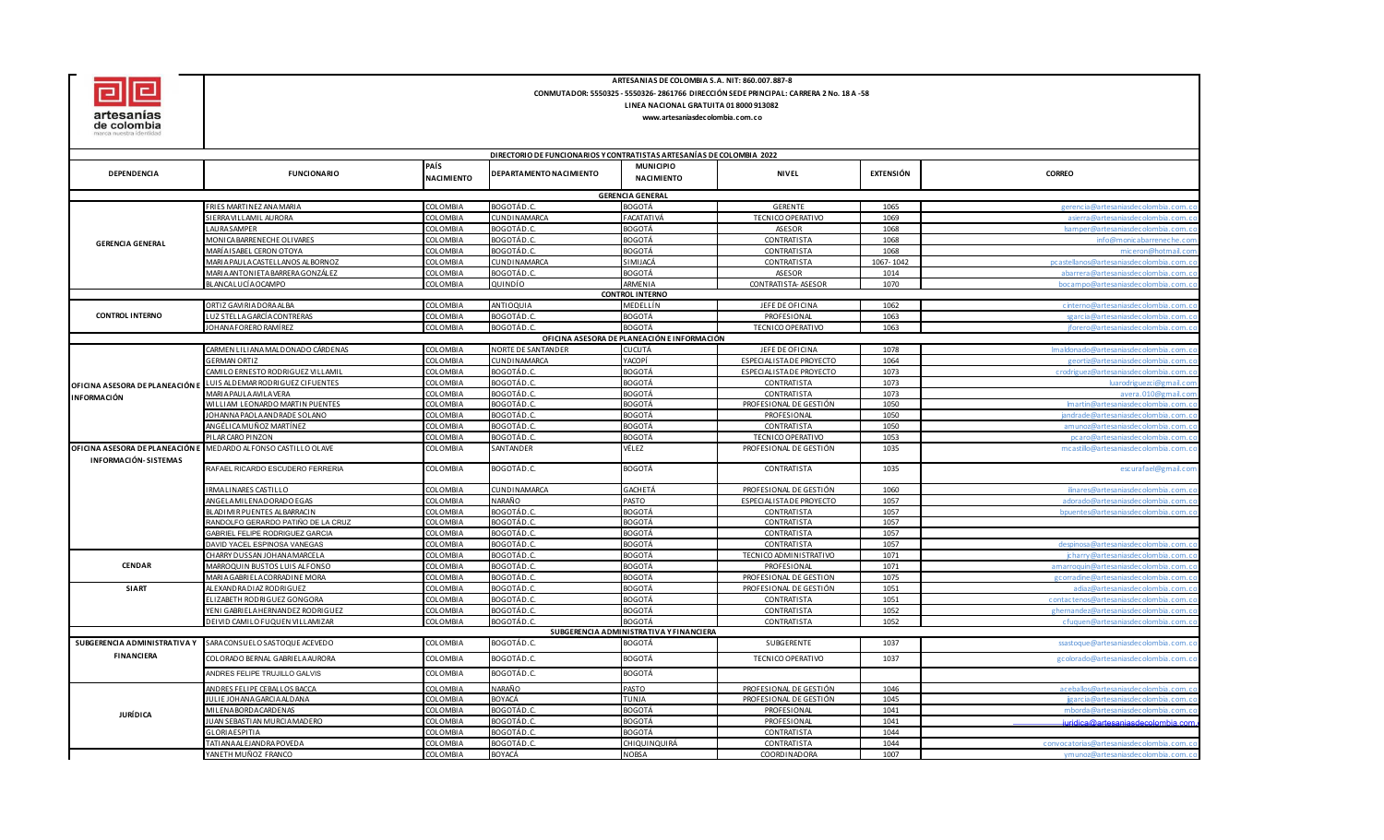

## **ARTESANIAS DE COLOMBIA S.A. NIT: 860.007.887-8 CONMUTADOR: 5550325 - 5550326- 2861766 DIRECCIÓN SEDE PRINCIPAL: CARRERA 2 No. 18 A -58 LINEA NACIONAL GRATUITA 01 8000 913082**

## **www.artesaniasdecolombia.com.co**

|                                 | DIRECTORIO DE FUNCIONARIOS Y CONTRATISTAS ARTESANÍAS DE COLOMBIA 2022 |                           |                         |                                                          |                          |           |                                         |
|---------------------------------|-----------------------------------------------------------------------|---------------------------|-------------------------|----------------------------------------------------------|--------------------------|-----------|-----------------------------------------|
| DEPENDENCIA                     | <b>FUNCIONARIO</b>                                                    | PAÍS<br><b>NACIMIENTO</b> | DEPARTAMENTO NACIMIENTO | <b>MUNICIPIO</b><br><b>NACIMIENTO</b>                    | <b>NIVEL</b>             | EXTENSIÓN | <b>CORREO</b>                           |
|                                 |                                                                       |                           |                         | <b>GERENCIA GENERAL</b>                                  |                          |           |                                         |
|                                 | RIES MARTINEZ ANA MARIA                                               | <b>COLOMBIA</b>           | BOGOTÁD.C.              | <b>BOGOTÁ</b>                                            | <b>GERENTE</b>           | 1065      | gerencia@artesaniasdecolombia.com.      |
|                                 | SIERRA VILLAMIL AURORA                                                | COLOMBIA                  | CUNDINAMARCA            | FACATATIVÁ                                               | TECNICO OPERATIVO        | 1069      | asierra@artesaniasdecolombia.com.       |
|                                 | <b>AURA SAMPER</b>                                                    | COLOMBIA                  | BOGOTÁD.C.              | <b>BOGOTÁ</b>                                            | <b>ASESOR</b>            | 1068      | Isamper@artesanjasdecolombja.com.       |
|                                 | <b><i>IONICA BARRENECHE OLIVARES</i></b>                              | COLOMBIA                  | BOGOTÁD.C.              | BOGOTÁ                                                   | CONTRATISTA              | 1068      | info@monicabarreneche.co                |
| <b>GERENCIA GENERAL</b>         | MARÍA I SABEL CERON OTOYA                                             | <b>COLOMBIA</b>           | BOGOTÁD.C.              | <b>BOGOTÁ</b>                                            | CONTRATISTA              | 1068      | miceron@hotmail.co                      |
|                                 | MARIA PAULA CASTELLANOS ALBORNOZ                                      | COLOMBIA                  | <b>CUNDINAMARCA</b>     | SIMIJACÁ                                                 | CONTRATISTA              | 1067-1042 | pcastellanos@artesaniasdecolombia.com.  |
|                                 | MARIA ANTONI ETA BARRERA GONZÁLEZ                                     | COLOMBIA                  | BOGOTÁD.C.              | BOGOTÁ                                                   | ASESOR                   | 1014      | abarrera@artesaniasdecolombia.com.o     |
|                                 | BLANCA LUCÍA OCAMPO                                                   | <b>COLOMBIA</b>           | QUINDÍO                 | ARMENIA                                                  | CONTRATISTA- ASESOR      | 1070      | bocampo@artesaniasdecolombia.com.o      |
|                                 |                                                                       |                           |                         | <b>CONTROL INTERNO</b>                                   |                          |           |                                         |
|                                 | ORTIZ GAVIRIADORA ALBA                                                | COLOMBIA                  | ANTIOQUIA               | MEDELLÍN                                                 | JEFE DE OFICINA          | 1062      | cinterno@artesaniasdecolombia.com.c     |
| <b>CONTROL INTERNO</b>          | LUZ STELLA GARCÍA CONTRERAS                                           | COLOMBIA                  | BOGOTÁD.C.              | <b>BOGOTÁ</b>                                            | PROFESIONAL              | 1063      | sgarcia@artesaniasdecolombia.com.o      |
|                                 | JOHANA FORERO RAMÍ REZ                                                | <b>COLOMBIA</b>           | BOGOTÁD.C.              | <b>BOGOTÁ</b>                                            | TECNICO OPERATIVO        | 1063      | jforero@artesaniasdecolombia.com.       |
|                                 |                                                                       |                           |                         | OFICINA ASESORA DE PLANEACIÓN E INFORMACIÓN              |                          |           |                                         |
|                                 | CARMEN LILIANA MALDONADO CÁRDENAS                                     | <b>COLOMBIA</b>           | NORTE DE SANTANDER      | <b>CUCUTÁ</b>                                            | JEFE DE OFICINA          | 1078      | Imaldonado@artesaniasdecolombia.com.    |
|                                 | <b>GERMAN ORTIZ</b>                                                   | COLOMBIA                  | CUNDINAMARCA            | YACOPÍ                                                   | ESPECIALISTA DE PROYECTO | 1064      | geortiz@artesaniasdecolombia.com        |
|                                 | CAMILO ERNESTO RODRIGUEZ VILLAMIL                                     | COLOMBIA                  | BOGOTÁD.C.              | BOGOTÁ                                                   | ESPECIALISTA DE PROYECTO | 1073      | crodriguez@artesaniasdecolombia.com.o   |
| OFICINA ASESORA DE PLANEACIÓN E | UIS ALDEMAR RODRIGUEZ CIFUENTES                                       | COLOMBIA                  | BOGOTÁD.C.              | <b>BOGOTÁ</b>                                            | CONTRATISTA              | 1073      | lua rodriguezci (d<br>mail.cc           |
|                                 | <b>MARIA PAULA AVILA VERA</b>                                         | <b>COLOMBIA</b>           | BOGOTÁD.C.              | <b>BOGOTÁ</b>                                            | CONTRATISTA              | 1073      | avera.010@gmail.co                      |
| <b>INFORMACIÓN</b>              | WILLIAM LEONARDO MARTIN PUENTES                                       | COLOMBIA                  | BOGOTÁD.C.              | BOGOTÁ                                                   | PROFESIONAL DE GESTIÓN   | 1050      | Imartin@artesaniasdecolombia.com.       |
|                                 | JOHANNA PAOLA ANDRADE SOLANO                                          | COLOMBIA                  | BOGOTÁD.C.              | BOGOTÁ                                                   | PROFESIONAL              | 1050      | jandrade@artesaniasdecolombia.com.c     |
|                                 | ANGÉLICA MUÑOZ MARTÍNEZ                                               | COLOMBIA                  | BOGOTÁD.C               | BOGOTÁ                                                   | CONTRATISTA              | 1050      | amunoz@artesaniasdecolombia.com.        |
|                                 | PILAR CARO PINZON                                                     | COLOMBIA                  | BOGOTÁD.C.              | <b>BOGOTÁ</b>                                            | TECNICO OPERATIVO        | 1053      | pcaro@artesaniasdecolombia.com.         |
| OFICINA ASESORA DE PLANEACIÓN E | MEDARDO ALFONSO CASTILLO OLAVE                                        | <b>COLOMBIA</b>           | SANTANDER               | VÉLEZ                                                    | PROFESIONAL DE GESTIÓN   | 1035      | mcastillo@artesaniasdecolombia.com.co   |
| <b>INFORMACIÓN-SISTEMAS</b>     | RAFAEL RICARDO ESCUDERO FERRERIA                                      | COLOMBIA                  | BOGOTÁD.C.              | <b>BOGOTÁ</b>                                            | CONTRATISTA              | 1035      | escurafael@gmail.com                    |
|                                 |                                                                       |                           |                         |                                                          |                          |           |                                         |
|                                 | RMALINARES CASTILLO                                                   | <b>COLOMBIA</b>           | CUNDINAMARCA            | GACHETÁ                                                  | PROFESIONAL DE GESTIÓN   | 1060      | ilinares@artesaniasdecolombia.com.o     |
|                                 | ANGELA MILENA DORADO EGAS                                             | <b>COLOMBIA</b>           | NARAÑO                  | PASTO                                                    | ESPECIALISTA DE PROYECTO | 1057      | adorado@artesaniasdecolombia.com.       |
|                                 | LADI MIR PUENTES ALBARRACIN                                           | COLOMBIA                  | BOGOTÁD.C               | BOGOTÁ                                                   | CONTRATISTA              | 1057      | bpuentes@artesaniasdecolombia.com.      |
|                                 | RANDOLFO GERARDO PATIÑO DE LA CRUZ                                    | COLOMBIA                  | BOGOTÁD.C.              | <b>BOGOTÁ</b>                                            | <b>CONTRATISTA</b>       | 1057      |                                         |
|                                 | GABRIEL FELIPE RODRIGUEZ GARCIA                                       | COLOMBIA                  | BOGOTÁD.C.              | BOGOTÁ                                                   | <b>CONTRATISTA</b>       | 1057      |                                         |
|                                 | DAVID YACEL ESPINOSA VANEGAS                                          | COLOMBIA                  | BOGOTÁD.C.              | <b>BOGOTÁ</b>                                            | CONTRATISTA              | 1057      | despinosa@artesaniasdecolombia.com.     |
| <b>CENDAR</b>                   | CHARRY DUSSAN JOHANA MARCELA                                          | COLOMBIA                  | BOGOTÁD.C.              | <b>BOGOTÁ</b>                                            | TECNICO ADMINISTRATIVO   | 1071      | jcharry@artesaniasdecolombia.com.c      |
|                                 | MARROQUIN BUSTOS LUIS ALFONSO                                         | COLOMBIA                  | BOGOTÁD.C               | BOGOTÁ                                                   | PROFESIONAL              | 1071      | amarroquin@artesaniasdecolombia.com.    |
|                                 | VIARIA GABRI ELA CORRADINE MORA                                       | <b>COLOMBIA</b>           | BOGOTÁD.C.              | <b>BOGOTÁ</b>                                            | PROFESIONAL DE GESTION   | 1075      | gcorradine@artesaniasdecolombia.com.    |
| <b>SIART</b>                    | ALEXANDRA DIAZ RODRIGUEZ                                              | COLOMBIA                  | BOGOTÁD.C.              | <b>BOGOTÁ</b>                                            | PROFESIONAL DE GESTIÓN   | 1051      | adiaz@artesaniasdecolombia.com.o        |
|                                 | ELIZABETH RODRIGUEZ GONGORA                                           | COLOMBIA                  | BOGOTÁD.C.              | <b>BOGOTÁ</b>                                            | <b>CONTRATISTA</b>       | 1051      | contactenos@artesaniasdecolombia.com.c  |
|                                 | YENI GABRIELA HERNANDEZ RODRIGUEZ                                     | <b>COLOMBIA</b>           | BOGOTÁD.C               | <b>BOGOTÁ</b>                                            | CONTRATISTA              | 1052      | ghernandez@artesaniasdecolombia.com.    |
|                                 | DEI VID CAMILO FUQUEN VILLAMIZAR                                      | COLOMBIA                  | BOGOTÁD.C.              | <b>BOGOTÁ</b>                                            | CONTRATISTA              | 1052      | cfuquen@artesaniasdecolombia.com.       |
| SUBGERENCIA ADMINISTRATIVA Y    | SARA CONSUELO SASTOQUE ACEVEDO                                        | COLOMBIA                  | BOGOTÁD.C.              | SUBGERENCIA ADMINISTRATIVA Y FINANCIERA<br><b>BOGOTÁ</b> | SUBGERENTE               | 1037      | ssastoque@artesaniasdecolombia.com.c    |
| <b>FINANCIERA</b>               | COLORADO BERNAL GABRIELA AURORA                                       | <b>COLOMBIA</b>           | BOGOTÁD.C.              | <b>BOGOTÁ</b>                                            | TECNICO OPERATIVO        | 1037      | gcolorado@artesaniasdecolombia.com.     |
|                                 |                                                                       | COLOMBIA                  | BOGOTÁD.C.              | BOGOTÁ                                                   |                          |           |                                         |
|                                 | ANDRES FELIPE TRUJILLO GALVIS                                         |                           |                         |                                                          |                          |           |                                         |
|                                 | ANDRES FELIPE CEBALLOS BACCA                                          | COLOMBIA                  | NARAÑO                  | PASTO                                                    | PROFESIONAL DE GESTIÓN   | 1046      | aceballos@artesaniasdecolombia.com.     |
|                                 | JULIE JOHANA GARCIA ALDANA                                            | COLOMBIA                  | BOYACÁ                  | <b>TUNJA</b>                                             | PROFESIONAL DE GESTIÓN   | 1045      | ijgarcia@artesanjasdecolombia.com.      |
| <b>JURÍDICA</b>                 | VII LENA BORDA CARDENAS                                               | COLOMBIA                  | BOGOTÁD.C.              | <b>BOGOTÁ</b>                                            | PROFESIONAL              | 1041      | mborda@artesanjasdecolombja.com.        |
|                                 | UAN SEBASTIAN MURCIA MADERO                                           | COLOMBIA                  | BOGOTÁD.C               | BOGOTÁ                                                   | PROFESIONAL              | 1041      | iuridica@artesaniasdecolombia.con       |
|                                 | <b>GLORIAESPITIA</b>                                                  | COLOMBIA                  | BOGOTÁD.C               | BOGOTÁ                                                   | CONTRATISTA              | 1044      |                                         |
|                                 | TATIANA ALEJANDRA POVEDA                                              | COLOMBIA                  | BOGOTÁD.C.              | CHIQUINQUIRÁ                                             | CONTRATISTA              | 1044      | convocatorias@artesaniasdecolombia.com. |
|                                 | YANETH MUÑOZ FRANCO                                                   | COLOMBIA                  | BOYACÁ                  | <b>NOBSA</b>                                             | COORDINADORA             | 1007      | ymunoz@artesaniasdecolombia.com.c       |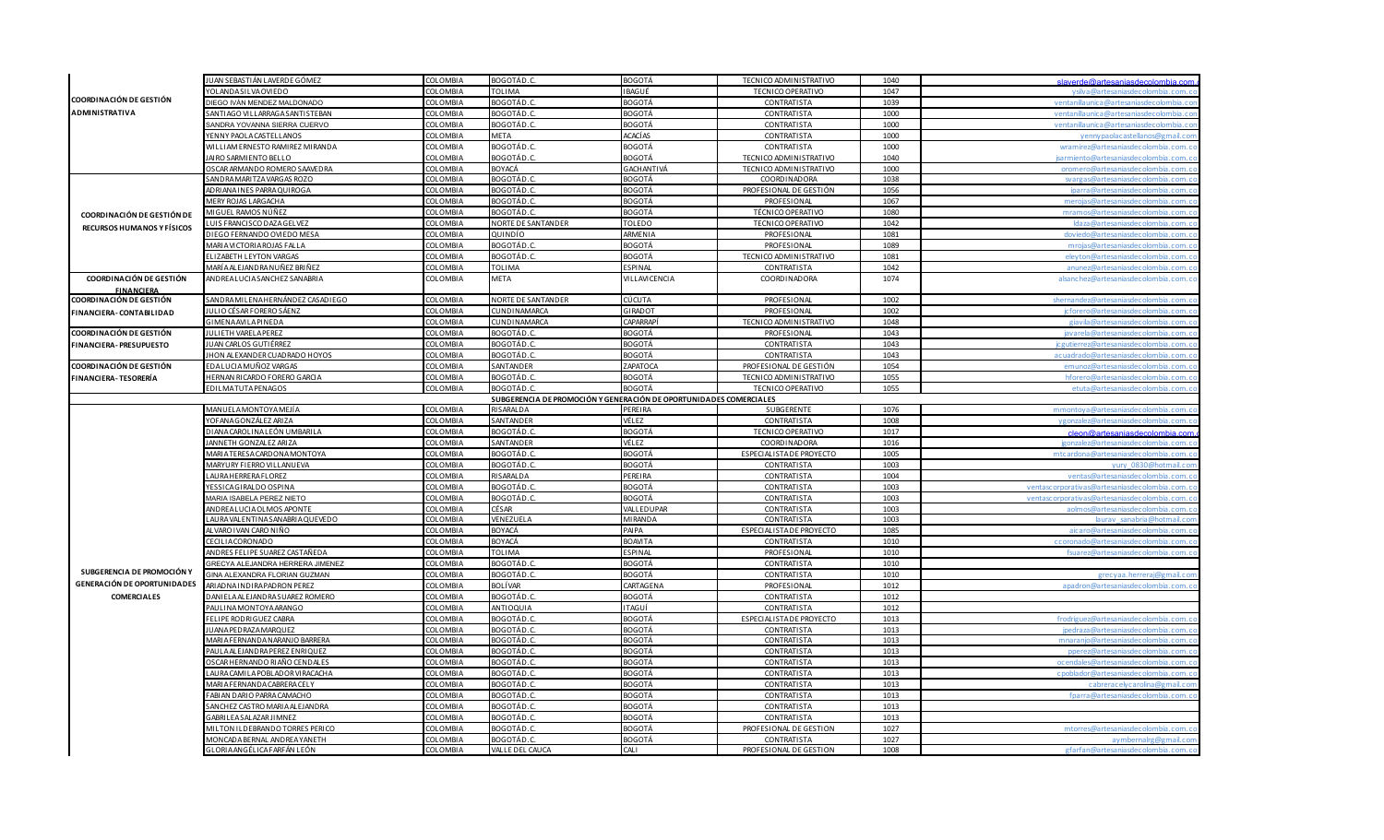|                                    | IUAN SEBASTIÁN LAVERDE GÓMEZ        | COLOMBIA        | BOGOTÁD.C.                                                         | BOGOTÁ               | TECNICO ADMINISTRATIVO         | 1040 | slaverde@artesaniasdecolombia.co              |
|------------------------------------|-------------------------------------|-----------------|--------------------------------------------------------------------|----------------------|--------------------------------|------|-----------------------------------------------|
|                                    | <b>OLANDASILVAOVIEDO</b>            | COLOMBIA        | <b>TOLIMA</b>                                                      | <b>IBAGUÉ</b>        | TECNICO OPERATIVO              | 1047 | vsilva@artesanjasdecolombia.com               |
| COORDINACIÓN DE GESTIÓN            | DIEGO IVÁN MENDEZ MALDONADO         | COLOMBIA        | BOGOTÁD.C                                                          | BOGOTÁ               | CONTRATISTA                    | 1039 | ventanillaunica@artesaniasdecolombia.co       |
| <b>ADMINISTRATIVA</b>              | SANTIAGO VILLARRAGA SANTISTEBAN     | COLOMBIA        | <b>BOGOTÁD.C</b>                                                   | BOGOTÁ               | CONTRATISTA                    | 1000 |                                               |
|                                    | SANDRA YOVANNA SIERRA CUERVO        | COLOMBIA        | BOGOTÁD.C.                                                         | BOGOTÁ               | CONTRATISTA                    | 1000 | ventanillaunica@artesaniasdecolombia.co       |
|                                    | YENNY PAOLA CASTELLANOS             | COLOMBIA        | <b>META</b>                                                        | <b>ACACÍAS</b>       | CONTRATISTA                    | 1000 | vennypaolacastellanos@gmail.c                 |
|                                    | WILLIAM ERNESTO RAMIREZ MIRANDA     | COLOMBIA        | BOGOTÁD.C.                                                         | <b>BOGOTÁ</b>        | CONTRATISTA                    | 1000 | wramirez@artesaniasdecolombia.com.c           |
|                                    | AIRO SARMIENTO BELLO                | COLOMBIA        | BOGOTÁD.C.                                                         | BOGOTÁ               | TECNICO ADMINISTRATIVO         | 1040 | sarmiento@artesaniasdecolombia.com.           |
|                                    | OSCAR ARMANDO ROMERO SAAVEDRA       | COLOMBIA        | BOYACÁ                                                             | GACHANTIVÁ           | TECNICO ADMINISTRATIVO         | 1000 | oromero@artesaniasdecolombia.com.             |
|                                    | SANDRA MARITZA VARGAS ROZO          | COLOMBIA        | BOGOTÁD.C                                                          | BOGOTÁ               | COORDINADORA                   | 1038 | svargas@artesaniasdecolombia.com.c            |
|                                    | ADRIANA INES PARRA QUIROGA          | COLOMBIA        | BOGOTÁD.C                                                          | <b>BOGOTÁ</b>        | PROFESIONAL DE GESTIÓN         | 1056 | inarra@artesanjasdecolombia.com               |
|                                    | MERY ROJAS LARGACHA                 | COLOMBIA        | BOGOTÁD.C.                                                         | <b>BOGOTÁ</b>        | PROFESIONAL                    | 1067 | merojas@artesanjasdecolombja.com.o            |
| COORDINACIÓN DE GESTIÓN DE         | MIGUEL RAMOS NÚÑEZ                  | COLOMBIA        | BOGOTÁD.C                                                          | BOGOTÁ               | TÉCNICO OPERATIVO              | 1080 | mramos@artesanjasdecolombia.com               |
|                                    | UIS FRANCISCO DAZA GELVEZ           | COLOMBIA        | <b>NORTE DE SANTANDER</b>                                          | <b>TOLEDO</b>        | TECNICO OPERATIVO              | 1042 | ldaza@artesaniasdecolombia.com.o              |
| RECURSOS HUMANOS Y FÍSICOS         | DIEGO FERNANDO OVIEDO MESA          | COLOMBIA        | QUINDÍO                                                            | ARMENIA              | PROFESIONAL                    | 1081 | doviedo@artesaniasdecolombia.com.c            |
|                                    | MARIA VICTORIA ROJAS FALLA          | <b>COLOMBIA</b> | BOGOTÁD.C                                                          | BOGOTÁ               | PROFESIONAL                    | 1089 | mrojas@artesanjasdecolombja_com               |
|                                    | <b>LIZABETH LEYTON VARGAS</b>       | COLOMBIA        | BOGOTÁD.C                                                          | BOGOTÁ               | TECNICO ADMINISTRATIVO         | 1081 | eleyton@artesaniasdecolombia.com.c            |
|                                    | MARÍ A AL EJANDRA NUÑEZ BRIÑEZ      | COLOMBIA        | TOLIMA                                                             | <b>ESPINAL</b>       | <b>CONTRATISTA</b>             | 1042 | anunez@artesaniasdecolombia.com.              |
| COORDINACIÓN DE GESTIÓN            | AND REALUCIAS ANCHEZ SANABRIA       | COLOMBIA        | META                                                               | <b>VILLAVICENCIA</b> | COORDINADORA                   | 1074 | alsanchez@artesaniasdecolombia.com.co         |
| <b>FINANCIFRA</b>                  |                                     |                 |                                                                    |                      |                                |      |                                               |
| COORDINACIÓN DE GESTIÓN            | SANDRA MILENA HERNÁNDEZ CASADIEGO   | <b>COLOMBIA</b> | NORTE DE SANTANDER                                                 | <b>CÚCUTA</b>        | PROFESIONAL                    | 1002 | shernandez@artesaniasdecolombia.com.          |
| FINANCIERA- CONTABILIDAD           | IULIO CÉSAR FORERO SÁENZ            | COLOMBIA        | CUNDINAMARCA                                                       | GIRADOT              | PROFESIONAL                    | 1002 | jcforero@artesaniasdecolombia.com.c           |
|                                    | <b>GIMENAAVILAPINEDA</b>            | <b>COLOMBIA</b> | CUNDINAMARCA                                                       | CAPARRAPI            | TECNICO ADMINISTRATIVO         | 1048 | giavila@artesanjasdecolombia_com              |
| <b>COORDINACIÓN DE GESTIÓN</b>     | JULIETH VARELA PEREZ                | COLOMBIA        | BOGOTÁD.C                                                          | BOGOTÁ               | PROFESIONAL                    | 1043 | javarela@artesaniasdecolombia.com.o           |
|                                    | IUAN CARLOS GUTIÉRREZ               | <b>COLOMBIA</b> | BOGOTÁD.C                                                          | BOGOTÁ               | <b>CONTRATISTA</b>             | 1043 | ic gutierrez@artesanias decolombia.com.c      |
| FINANCIERA- PRESUPUESTO            | HON ALEXANDER CUADRADO HOYOS        | COLOMBIA        | BOGOTÁD.C                                                          | BOGOTÁ               | CONTRATISTA                    | 1043 |                                               |
| <b>COORDINACIÓN DE GESTIÓN</b>     | EDALUCIAMUÑOZ VARGAS                | <b>COLOMBIA</b> | SANTANDER                                                          | ZAPATOCA             | PROFESIONAL DE GESTIÓN         | 1054 | emunoz@artesanjasdecolombja.com.c             |
|                                    | HERNAN RICARDO FORERO GARCIA        | COLOMBIA        | BOGOTÁD.C                                                          | <b>BOGOTÁ</b>        | TECNICO ADMINISTRATIVO         | 1055 | hforero@artesaniasdecolombia.com              |
| FINANCIERA- TESORERÍA              | EDILMATUTAPENAGOS                   | COLOMBIA        | BOGOTÁD.C                                                          | BOGOTÁ               | TECNICO OPERATIVO              |      | etuta@artesaniasdecolombia.com.c              |
|                                    |                                     |                 |                                                                    |                      |                                | 1055 |                                               |
|                                    |                                     |                 | SUBGERENCIA DE PROMOCIÓN Y GENERACIÓN DE OPORTUNIDADES COMERCIALES |                      |                                |      |                                               |
|                                    | MANUELA MONTOYA MEJÍ A              | <b>COLOMBIA</b> | <b>RISARALDA</b>                                                   | PEREIRA              | SUBGERENTE                     | 1076 | mmontova@artesanjasdecolombia.com             |
|                                    | YOFANA GONZÁLEZ ARIZA               | COLOMBIA        | SANTANDER                                                          | VÉLEZ                | <b>CONTRATISTA</b>             | 1008 | ygonzalez@artesaniasdecolombia.com.c          |
|                                    | DIANA CAROLINA LEÓN UMBARILA        | COLOMBIA        | BOGOTÁD.C                                                          | <b>BOGOTÁ</b>        | TECNICO OPERATIVO              | 1017 | cleon@artecanisedecolombia.co                 |
|                                    | ANNETH GONZALEZ ARIZA               | COLOMBIA        | SANTANDER                                                          | VÉLEZ                | COORDINADORA                   | 1016 | igonzalez@artesanjasdecolombia.com.c          |
|                                    | <b>MARIA TERESA CARDONA MONTOYA</b> | COLOMBIA        | BOGOTÁD.C                                                          | BOGOTÁ               | <b>ESPECIALISTADE PROYECTO</b> | 1005 | mtcardona@artesanjasdecolombja.com.o          |
|                                    | MARYURY FIERRO VILLANUEVA           | COLOMBIA        | BOGOTÁD.C                                                          | BOGOTÁ               | CONTRATISTA                    | 1003 | yury 0830@hotmail.co                          |
|                                    | AURAHERRERAFLOREZ                   | COLOMBIA        | RISARALDA                                                          | PEREIRA              | <b>CONTRATISTA</b>             | 1004 | ventas@artesaniasdecolombia.com.o             |
|                                    | YESSICA GIRALDO OSPINA              | <b>COLOMBIA</b> | BOGOTÁD.C                                                          | BOGOTÁ               | <b>CONTRATISTA</b>             | 1003 | ventascorporativas@artesaniasdecolombia.com.  |
|                                    | MARIA ISABELA PEREZ NIETO           | COLOMBIA        | BOGOTÁD.C.                                                         | BOGOTÁ               | <b>CONTRATISTA</b>             | 1003 | ventascorporativas@artesaniasdecolombia.com.c |
|                                    | ANDREALUCIAOLMOS APONTE             | <b>COLOMBIA</b> | CÉSAR                                                              | VALLEDUPAR           | <b>CONTRATISTA</b>             | 1003 | anlmn                                         |
|                                    | AURA VALENTINA SANABRIA QUEVEDO     | COLOMBIA        | VENEZUELA                                                          | <b>MIRANDA</b>       | <b>CONTRATISTA</b>             | 1003 | auray sanahria                                |
|                                    | ALVARO IVAN CARO NIÑO               | COLOMBIA        | BOYACÁ                                                             | PAIPA                | ESPECIALISTA DE PROYECTO       | 1085 | aicaro@artesaniasdecolombia.com.o             |
|                                    | CECILIA CORONADO                    | COLOMBIA        | BOYACÁ                                                             | <b>BOAVITA</b>       | <b>CONTRATISTA</b>             | 1010 |                                               |
|                                    | ANDRES FELIPE SUAREZ CASTAÑEDA      | COLOMBIA        | <b>TOLIMA</b>                                                      | ESPINAL              | PROFESIONAL                    | 1010 | fsuarez@artesaniasdecolombia.com.c            |
|                                    | GRECYA ALEJANDRA HERRERA JIMENEZ    | COLOMBIA        | BOGOTÁD.C.                                                         | BOGOTÁ               | CONTRATISTA                    | 1010 |                                               |
| SUBGERENCIA DE PROMOCIÓN Y         | <b>INA ALEXANDRA FLORIAN GUZMAN</b> | COLOMBIA        | BOGOTÁD.C                                                          | BOGOTÁ               | <b>CONTRATISTA</b>             | 1010 | grecyaa.herreraj@gmail.co                     |
| <b>GENERACIÓN DE OPORTUNIDADES</b> | ARIAD NA INDIRA PADRON PEREZ        | COLOMBIA        | BOLÍVAR                                                            | CARTAGENA            | PROFESIONAL                    | 1012 | apadron@artesaniasdecolombia.com.o            |
| <b>COMERCIALES</b>                 | DANI ELA ALEJANDRA SUAREZ ROMERO    | <b>COLOMBIA</b> | BOGOTÁD.C                                                          | BOGOTÁ               | <b>CONTRATISTA</b>             | 1012 |                                               |
|                                    | PAULINA MONTOYA ARANGO              | COLOMBIA        | ANTIOQUIA                                                          | ITAGUÍ               | <b>CONTRATISTA</b>             | 1012 |                                               |
|                                    | FELIPE RODRIGUEZ CABRA              | COLOMBIA        | BOGOTÁD.C                                                          | <b>BOGOTÁ</b>        | ESPECIALISTA DE PROYECTO       | 1013 | frodriguez@artesaniasdecolombia.com           |
|                                    | <b>IUANA PEDRAZA MARQUEZ</b>        | COLOMBIA        | BOGOTÁD.C.                                                         | <b>BOGOTÁ</b>        | <b>CONTRATISTA</b>             | 1013 | ipedraza@artesaniasdecolombia.com.c           |
|                                    | MARIA FERNANDA NARANJO BARRERA      | COLOMBIA        | BOGOTÁD.C.                                                         | BOGOTÁ               | <b>CONTRATISTA</b>             | 1013 | mnaranio@artesaniasdecolombia_com             |
|                                    | PAULA AL EJANDRA PEREZ ENRIQUEZ     | COLOMBIA        | BOGOTÁD.C                                                          | BOGOTÁ               | CONTRATISTA                    | 1013 | pperez@artesanjasdecolombja.com.              |
|                                    | OSCAR HERNANDO RIAÑO CENDALES       | COLOMBIA        | BOGOTÁD.C.                                                         | <b>BOGOTÁ</b>        | CONTRATISTA                    | 1013 | ocendales@artesaniasdecolombia.com.c          |
|                                    | AURA CAMILA POBLADOR VIRACACHA      | COLOMBIA        | BOGOTÁD.C                                                          | BOGOTÁ               | <b>CONTRATISTA</b>             | 1013 | choblador@artesaniasdecolombia_com            |
|                                    | MARIA FERNANDA CABRERA CELY         | COLOMBIA        | BOGOTÁD.C.                                                         | BOGOTÁ               | <b>CONTRATISTA</b>             | 1013 | cabreracelycarolina@gmail.co                  |
|                                    | ABIAN DARIO PARRA CAMACHO           | <b>COLOMBIA</b> | BOGOTÁD.C                                                          | BOGOTÁ               | <b>CONTRATISTA</b>             | 1013 | fparra@artesaniasdecolombia.com.              |
|                                    | SANCHEZ CASTRO MARIA ALEJANDRA      | COLOMBIA        | <b>BOGOTÁD.C</b>                                                   | BOGOTÁ               | <b>CONTRATISTA</b>             | 1013 |                                               |
|                                    | GABRILEA SALAZAR JIMNEZ             | COLOMBIA        | BOGOTÁD.C                                                          | BOGOTÁ               | CONTRATISTA                    | 1013 |                                               |
|                                    | VILTON ILDEBRANDO TORRES PERICO     | <b>COLOMBIA</b> | BOGOTÁD.C.                                                         | <b>BOGOTÁ</b>        | PROFESIONAL DE GESTION         | 1027 | mtorres@artesaniasdecolombia.com.o            |
|                                    | MONCADA BERNAL ANDREA YANETH        | COLOMBIA        | BOGOTÁD.C.                                                         | BOGOTÁ               | <b>CONTRATISTA</b>             | 1027 | aymbernalrg@gmail.cor                         |
|                                    |                                     | COLOMBIA        | VALLE DEL CAUCA                                                    | CALI                 | PROFESIONAL DE GESTION         | 1008 | gfarfan@artesaniasdecolombia.com.             |
|                                    | GLORIA ANGÉLICA FARFÁN LEÓN         |                 |                                                                    |                      |                                |      |                                               |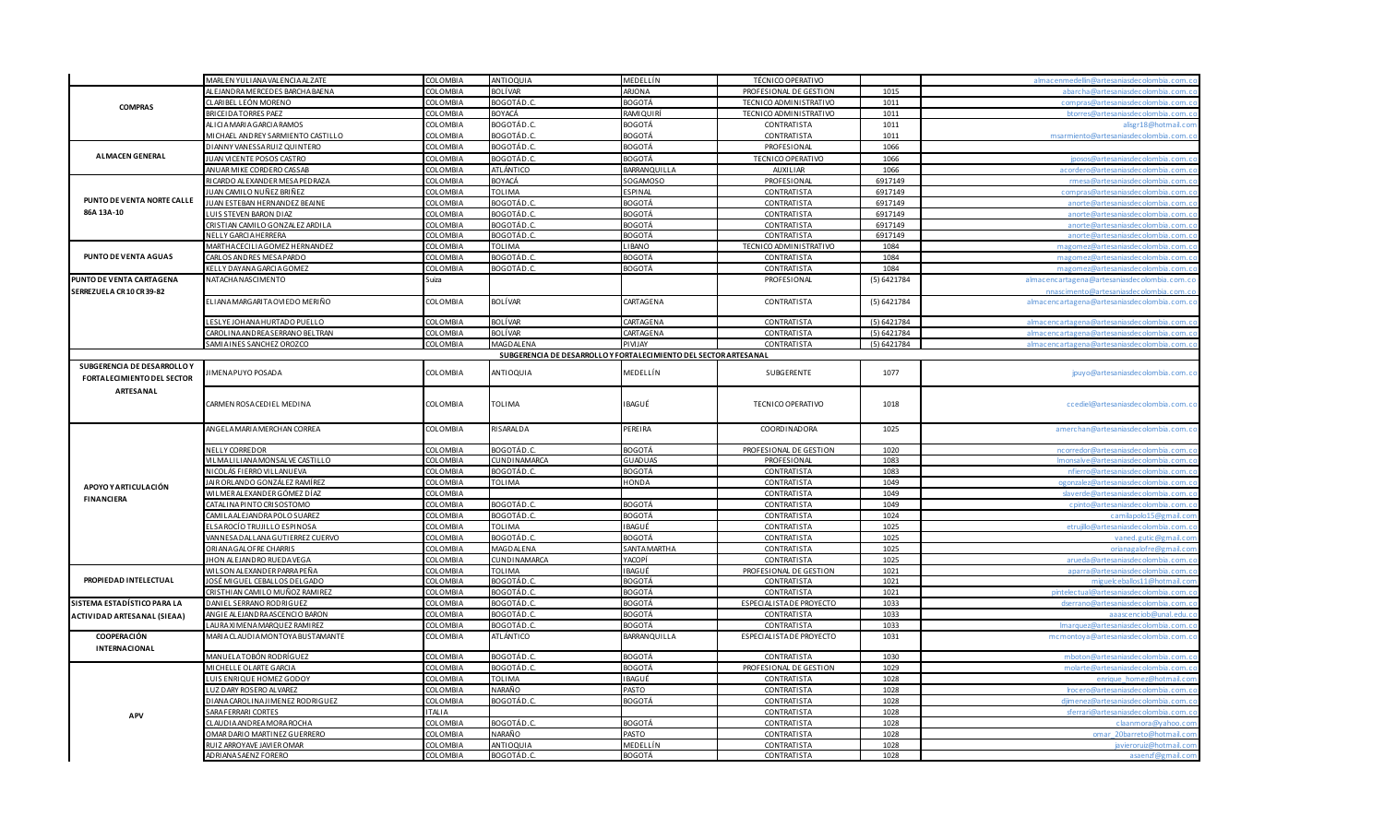|                                   | MARLEN YULIANA VALENCIA ALZATE                    | <b>COLOMBIA</b>             | ANTIOQUIA                                                        | MEDELLÍN                  | TÉCNICO OPERATIVO                        |              | almacenmedellin@artesaniasdecolombia.com.                                               |
|-----------------------------------|---------------------------------------------------|-----------------------------|------------------------------------------------------------------|---------------------------|------------------------------------------|--------------|-----------------------------------------------------------------------------------------|
|                                   | AL EJANDRA MERCEDES BARCHA BAENA                  | COLOMBIA                    | BOLÍVAR                                                          | ARJONA                    | PROFESIONAL DE GESTION                   | 1015         | abarcha@artesaniasdecolombia.com.c                                                      |
|                                   | CLARIBEL LEÓN MORENO                              | COLOMBIA                    | BOGOTÁD.C                                                        | <b>BOGOTÁ</b>             | TECNICO ADMINISTRATIVO                   | 1011         | compras@artesanjasdecolombia.com.ci                                                     |
| <b>COMPRAS</b>                    | BRICEIDATORRES PAEZ                               | COLOMBIA                    | BOYACÁ                                                           | <b>RAMIQUIRÍ</b>          | TECNICO ADMINISTRATIVO                   | 1011         | btorres@artesaniasdecolombia.com.c                                                      |
|                                   | ALICIA MARIA GARCIA RAMOS                         | <b>COLOMBIA</b>             | BOGOTÁD.C.                                                       | BOGOTÁ                    | CONTRATISTA                              | 1011         | alisgr18@hotmail.com                                                                    |
|                                   | MICHAEL ANDREY SARMIENTO CASTILLO                 | <b>COLOMBIA</b>             | BOGOTÁD.C                                                        | BOGOTÁ                    | CONTRATISTA                              | 1011         | msarmiento@artesaniasdecolombia.com.c                                                   |
|                                   | DIANNY VANESSA RUIZ QUINTERO                      | <b>COLOMBIA</b>             | BOGOTÁD.C.                                                       | BOGOTÁ                    | PROFESIONAL                              | 1066         |                                                                                         |
| <b>ALMACEN GENERAL</b>            | <b>IUAN VICENTE POSOS CASTRO</b>                  | <b>COLOMBIA</b>             | BOGOTÁD.C                                                        | <b>BOGOTÁ</b>             | TECNICO OPERATIVO                        | 1066         | inosos@artesaniasdecolombia.com.c                                                       |
|                                   | ANUAR MIKE CORDERO CASSAB                         | COLOMBIA                    | <b>ATLÁNTICO</b>                                                 | BARRANQUILLA              | AUXILIAR                                 | 1066         | acordero@artesaniasdecolombia.com.c                                                     |
|                                   | RICARDO ALEXANDER MESA PEDRAZA                    | COLOMBIA                    | <b>BOYACÁ</b>                                                    | SOGAMOSO                  | PROFESIONAL                              | 6917149      | rmesa@artesanjasdecolombia.com.c                                                        |
|                                   | UAN CAMILO NUÑEZ BRIÑEZ                           | <b>COLOMBIA</b>             | TOLIMA                                                           | ESPINAL                   | CONTRATISTA                              | 6917149      |                                                                                         |
| PUNTO DE VENTA NORTE CALLE        | IUAN ESTEBAN HERNANDEZ BEAINE                     | COLOMBIA                    | BOGOTÁD.C                                                        | <b>BOGOTÁ</b>             | CONTRATISTA                              | 6917149      | anorte@artesaniasdecolombia.com.co                                                      |
| 86A 13A-10                        | LUIS STEVEN BARON DIAZ                            | COLOMBIA                    | BOGOTÁD.C                                                        | <b>BOGOTÁ</b>             | CONTRATISTA                              | 6917149      | anorte@artesanjasdecolombia.com.c                                                       |
|                                   | CRISTIAN CAMILO GONZALEZ ARDILA                   | COLOMBIA                    | BOGOTÁD.C                                                        | BOGOTÁ                    | <b>CONTRATISTA</b>                       | 6917149      | anorte@artesanjasdecolombja.com.c                                                       |
|                                   | NELLY GARCIA HERRERA                              | COLOMBIA                    | BOGOTÁD.C                                                        | <b>BOGOTÁ</b>             | <b>CONTRATISTA</b>                       | 6917149      | anorte@artesanjasdecolombja.com.c                                                       |
|                                   | MARTHA CECILIA GOMEZ HERNANDEZ                    | <b>COLOMBIA</b>             | <b>TOLIMA</b>                                                    | LIBANO                    | TECNICO ADMINISTRATIVO                   | 1084         |                                                                                         |
| PUNTO DE VENTA AGUAS              | CARLOS ANDRES MESA PARDO                          | COLOMBIA                    | BOGOTÁD.C.                                                       | BOGOTÁ                    | CONTRATISTA                              | 1084         |                                                                                         |
|                                   | KELLY DAYANA GARCIA GOMEZ                         | COLOMBIA                    | BOGOTÁD.C                                                        | BOGOTÁ                    | <b>CONTRATISTA</b>                       | 1084         | magomez@artesaniasdecolombia.com.co                                                     |
| PUNTO DE VENTA CARTAGENA          | NATACHA NASCIMENTO                                | Suiza                       |                                                                  |                           | PROFESIONAL                              | (5) 6421784  |                                                                                         |
|                                   |                                                   |                             |                                                                  |                           |                                          |              | almacencartagena@artesaniasdecolombia.com.co<br>onascimento@artesaniasdecolombia_com_ci |
| SERREZUELA CR 10 CR 39-82         | ELIANA MARGARITA OVIEDO MERIÑO                    | COLOMBIA                    | <b>BOLÍVAR</b>                                                   |                           |                                          |              |                                                                                         |
|                                   |                                                   |                             |                                                                  | CARTAGENA                 | CONTRATISTA                              | (5) 6421784  | almacencartagena@artesaniasdecolombia.com.co                                            |
|                                   | LESLYE JOHANA HURTADO PUELLO                      | COLOMBIA                    | <b>BOLÍVAR</b>                                                   | CARTAGENA                 | CONTRATISTA                              | (5) 6421784  | almacencartagena@artesaniasdecolombia.com.co                                            |
|                                   | CAROLINA AND REA SERRANO BELTRAN                  | <b>COLOMBIA</b>             | <b>BOLÍVAR</b>                                                   | CARTAGENA                 | <b>CONTRATISTA</b>                       | (5) 6421784  | almacencartagena@artesaniasdecolombia.com.o                                             |
|                                   | SAMIA INES SANCHEZ OROZCO                         | COLOMBIA                    | <b>MAGDALENA</b>                                                 | PIVIJAY                   | <b>CONTRATISTA</b>                       | (5)6421784   | almacencartagena@artesaniasdecolombia.com.co                                            |
|                                   |                                                   |                             | SUBGERENCIA DE DESARROLLO Y FORTALECIMIENTO DEL SECTOR ARTESANAL |                           |                                          |              |                                                                                         |
| SUBGERENCIA DE DESARROLLO Y       |                                                   |                             |                                                                  |                           |                                          |              |                                                                                         |
|                                   | IMENA PUYO POSADA                                 | COLOMBIA                    | ANTIOQUIA                                                        | MEDELLÍN                  | SUBGERENTE                               | 1077         | jpuyo@artesaniasdecolombia.com.co                                                       |
| <b>FORTALECIMIENTO DEL SECTOR</b> |                                                   |                             |                                                                  |                           |                                          |              |                                                                                         |
| ARTESANAL                         |                                                   |                             |                                                                  |                           |                                          |              |                                                                                         |
|                                   | CARMEN ROSA CEDIEL MEDINA                         | COLOMBIA                    | <b>TOLIMA</b>                                                    | IBAGUÉ                    | TECNICO OPERATIVO                        | 1018         | ccediel@artesaniasdecolombia.com.co                                                     |
|                                   |                                                   |                             |                                                                  |                           |                                          |              |                                                                                         |
|                                   | ANGELA MARIA MERCHAN CORREA                       | COLOMBIA                    | RISARALDA                                                        | PEREIRA                   | COORDINADORA                             | 1025         | amerchan@artesaniasdecolombia.com.co                                                    |
|                                   |                                                   |                             |                                                                  |                           |                                          |              |                                                                                         |
|                                   | NELLY CORREDOR                                    | COLOMBIA                    | <b>BOGOTÁD.C</b>                                                 | BOGOTÁ                    | PROFESIONAL DE GESTION                   | 1020         |                                                                                         |
|                                   | VILMALILIANA MONSALVE CASTILLO                    | COLOMBIA                    | CUNDINAMARCA                                                     | GUADUAS                   | PROFESIONAL                              | 1083         | Imonsalve@artesaniasdecolombia.com.co                                                   |
|                                   | NICOLÁS FIERRO VILLANUEVA                         | COLOMBIA                    | BOGOTÁD.C                                                        | BOGOTÁ                    | CONTRATISTA                              | 1083         |                                                                                         |
|                                   | <u>IAI R ORLANDO GONZÁLEZ RAMÍREZ</u>             | COLOMBIA                    | TOLIMA                                                           | HONDA                     | CONTRATISTA                              | 1049         | ogonzalez@artesaniasdecolombia.com.co                                                   |
| APOYO Y ARTICULACIÓN              | WI LMER ALEXANDER GÓMEZ DÍAZ                      |                             |                                                                  |                           |                                          |              |                                                                                         |
| <b>FINANCIERA</b>                 |                                                   |                             |                                                                  |                           |                                          |              | slaverde@artesanjasdecolombia_com_o                                                     |
|                                   |                                                   | COLOMBIA                    |                                                                  |                           | <b>CONTRATISTA</b>                       | 1049         |                                                                                         |
|                                   | CATALINA PINTO CRISOSTOMO                         | COLOMBIA                    | BOGOTÁD.C                                                        | BOGOTÁ                    | CONTRATISTA                              | 1049         |                                                                                         |
|                                   | CAMILA ALEJANDRA POLO SUAREZ                      | COLOMBIA                    | BOGOTÁD.C                                                        | BOGOTÁ                    | CONTRATISTA                              | 1024         | camilapolo15@gmail.cor                                                                  |
|                                   | ELSAROCÍO TRUJILLO ESPINOSA                       | <b>COLOMBIA</b>             | TOLIMA                                                           | IBAGUÉ                    | CONTRATISTA                              | 1025         | etruillo@artesaniasdecolombia.com.c                                                     |
|                                   | VANNESA DALLANA GUTIERREZ CUERVO                  | COLOMBIA                    | BOGOTÁD.C                                                        | BOGOTÁ                    | <b>CONTRATISTA</b>                       | 1025         | vaned.gutic@gmail.co                                                                    |
|                                   | ORI ANA GALOFRE CHARRIS                           | COLOMBIA                    | <b>MAGDALENA</b>                                                 | SANTAMARTHA               | <b>CONTRATISTA</b>                       | 1025         | orianagalofre@gmail.co                                                                  |
|                                   | <b>IHON ALEJANDRO RUEDA VEGA</b>                  | COLOMBIA                    | CUNDINAMARCA                                                     | YACOPÍ                    | CONTRATISTA                              | 1025         | arueda@artesaniasdecolombia.com.o                                                       |
|                                   | WI L SON AL EXANDER PARRA PEÑA                    | COLOMBIA                    | TOLIMA                                                           | IBAGUÉ                    | PROFESIONAL DE GESTION                   | 1021         | aparra@artesaniasdecolombia.com.c                                                       |
| PROPIEDAD INTELECTUAL             | JOSÉ MIGUEL CEBALLOS DELGADO                      | COLOMBIA                    | BOGOTÁD.                                                         | <b>BOGOTÁ</b>             | <b>CONTRATISTA</b>                       | 1021         |                                                                                         |
|                                   | CRISTHIAN CAMILO MUÑOZ RAMIREZ                    | COLOMBIA                    | BOGOTÁD.C                                                        | BOGOTÁ                    | CONTRATISTA                              | 1021         | pintelectual@artesaniasdecolombia.com.c                                                 |
| SISTEMA ESTADÍSTICO PARA LA       | DANIEL SERRANO RODRIGUEZ                          | <b>COLOMBIA</b>             | BOGOTÁD.C                                                        | <b>BOGOTÁ</b>             | ESPECIALISTA DE PROYECTO                 | 1033         | dserrano@artesaniasdecolombia.com.c                                                     |
| ACTIVIDAD ARTESANAL (SIEAA)       | ANGIE ALEJANDRA ASCENCIO BARON                    | <b>COLOMBIA</b>             | BOGOTÁD.C                                                        | BOGOTÁ                    | <b>CONTRATISTA</b>                       | 1033         |                                                                                         |
|                                   | LAURA XI MENA MARQUEZ RAMI REZ                    | COLOMBIA                    | BOGOTÁD.C.                                                       | BOGOTÁ                    | <b>CONTRATISTA</b>                       | 1033         | Imarquez@artesaniasdecolombia.com.co                                                    |
| <b>COOPERACIÓN</b>                | MARIA CLAUDIA MONTOYA BUSTAMANTE                  | <b>COLOMBIA</b>             | <b>ATLÁNTICO</b>                                                 | BARRANQUILLA              | ESPECIALISTA DE PROYECTO                 | 1031         | mcmontoya@artesaniasdecolombia.com.c                                                    |
| INTERNACIONAL                     |                                                   |                             |                                                                  |                           |                                          |              |                                                                                         |
|                                   | MANUELATOBÓN RODRÍGUEZ                            | <b>COLOMBIA</b>             | BOGOTÁD.C                                                        | BOGOTÁ                    | <b>CONTRATISTA</b>                       | 1030         | mboton@artesanjasdecolombia.com.c                                                       |
|                                   | MICHELLE OLARTE GARCIA                            | <b>COLOMBIA</b>             | BOGOTÁD.C                                                        | <b>BOGOTÁ</b>             | PROFESIONAL DE GESTION                   | 1029         | molarte@artesanjasdecolombia.com.c                                                      |
|                                   | UIS ENRIQUE HOMEZ GODOY                           | <b>COLOMBIA</b>             | <b>TOLIMA</b>                                                    | <b>IBAGUÉ</b>             | <b>CONTRATISTA</b>                       | 1028         |                                                                                         |
|                                   | UZ DARY ROSERO ALVAREZ                            | <b>COLOMBIA</b>             | NARAÑO                                                           | PASTO                     | <b>CONTRATISTA</b>                       | 1028         | Irocero@artesaniasdecolombia.com.c                                                      |
|                                   | DIANA CAROLINA JIMENEZ RODRIGUEZ                  | COLOMBIA                    | BOGOTÁD.                                                         | BOGOTÁ                    | <b>CONTRATISTA</b>                       | 1028         |                                                                                         |
| <b>APV</b>                        | SARA FERRARI CORTES                               | ITALIA                      |                                                                  |                           | <b>CONTRATISTA</b>                       | 1028         | sferrari@artesaniasdecolombia.com.c                                                     |
|                                   | CLAUDIA ANDREA MORA ROCHA                         | COLOMBIA                    | BOGOTÁD.C                                                        | BOGOTÁ                    | <b>CONTRATISTA</b>                       | 1028         | claanmora@vahoo.co                                                                      |
|                                   | OMAR DARIO MARTINEZ GUERRERO                      | <b>COLOMBIA</b>             | <b>NARAÑO</b>                                                    | PASTO                     | <b>CONTRATISTA</b>                       | 1028         | omar 20barreto@hotmail.co                                                               |
|                                   | RUIZ ARROYAVE JAVIER OMAR<br>ADRIANA SAENZ FORERO | COLOMBIA<br><b>COLOMBIA</b> | ANTIOQUIA<br>BOGOTÁD.C                                           | MEDELLÍN<br><b>BOGOTÁ</b> | <b>CONTRATISTA</b><br><b>CONTRATISTA</b> | 1028<br>1028 | javieroruiz@hotmail.con<br>asaenzf@gmail.con                                            |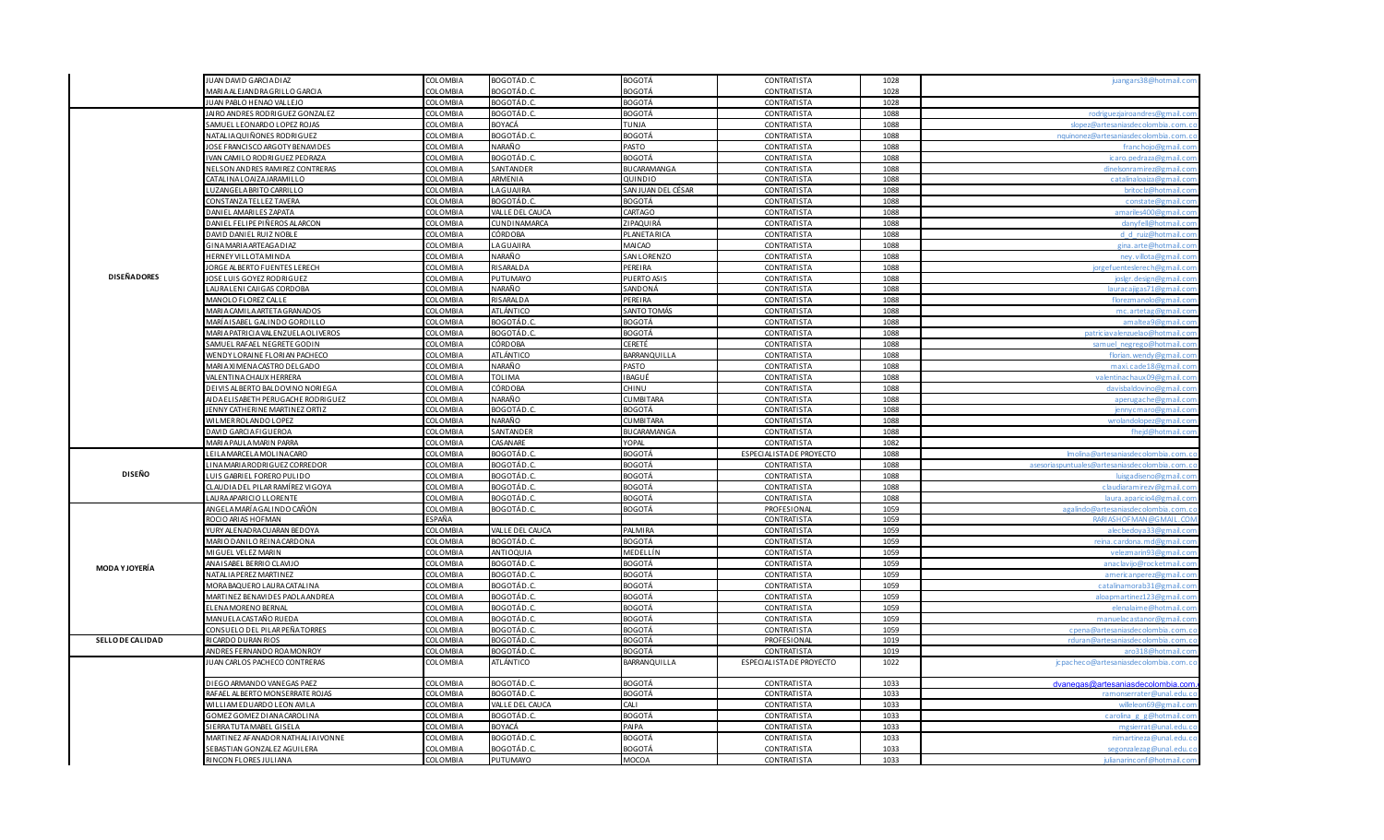|                       | JUAN DAVID GARCIA DIAZ                                       | COLOMBIA             | BOGOTÁD.C.        | <b>BOGOTÁ</b>                  | CONTRATISTA                       | 1028         | juangars38@hotmail.com                      |
|-----------------------|--------------------------------------------------------------|----------------------|-------------------|--------------------------------|-----------------------------------|--------------|---------------------------------------------|
|                       | <b>MARIA ALEJANDRA GRILLO GARCIA</b>                         | COLOMBIA             | 3OGOTÁD.C         | BOGOTÁ                         | <b>CONTRATISTA</b>                | 1028         |                                             |
|                       | JUAN PABLO HENAO VALLEJO                                     | <b>COLOMBIA</b>      | BOGOTÁD.C.        | BOGOTÁ                         | CONTRATISTA                       | 1028         |                                             |
|                       | JAIRO ANDRES RODRIGUEZ GONZALEZ                              | <b>COLOMBIA</b>      | 80 <u>GOTÁD.C</u> | BOGOTÁ                         | CONTRATISTA                       | 1088         | rodrigueziairoandres@gmail.c                |
|                       | SAMUEL LEONARDO LOPEZ ROJAS                                  | <b>COLOMBIA</b>      | BOYACÁ            | TUNJA                          | CONTRATISTA                       | 1088         | slopez@artesaniasdecolombia.com.c           |
|                       | VATALIA QUIÑONES RODRIGUEZ                                   | COLOMBIA             | BOGOTÁD.C.        | BOGOTÁ                         | CONTRATISTA                       | 1088         | nquinonez@artesaniasdecolombia.com.         |
|                       | OSE FRANCISCO ARGOTY BENAVIDES                               | COLOMBIA             | NARAÑO            | PASTO                          | <b>CONTRATISTA</b>                | 1088         | franchojo@gmail.co                          |
|                       | VAN CAMILO RODRIGUEZ PEDRAZA                                 | <b>COLOMBIA</b>      | BOGOTÁD.C         | BOGOTÁ                         | CONTRATISTA                       | 1088         | icaro, pedraza@gmail.co                     |
|                       | <b>NELSON ANDRES RAMIREZ CONTRERAS</b>                       | COLOMBIA             | SANTANDER         | <b>BUCARAMANGA</b>             | CONTRATISTA                       | 1088         | dinelsonramirez@gmail.co                    |
|                       | <b>ATALINALOAIZAJARAMILLO</b>                                | COLOMBIA             | ARMENIA           | QUINDIO                        | <b>CONTRATISTA</b>                | 1088         | catalinaloaiza@                             |
|                       | UZANGELA BRITO CARRILLO                                      | COLOMBIA             | LAGUAIRA          | SAN JUAN DEL CÉSAR             | <b>CONTRATISTA</b>                | 1088         | britoclz@hotmail.co                         |
|                       | CONSTANZA TELLEZ TAVERA                                      | COLOMBIA             | BOGOTÁD.C         | <b>BOGOTÁ</b>                  | <b>CONTRATISTA</b>                | 1088         | constate@gmail.c                            |
|                       | ANIEL AMARILES ZAPATA                                        | <b>COLOMBIA</b>      | VALLE DEL CAUCA   | CARTAGO                        | <b>CONTRATISTA</b>                | 1088         | amariles400@gmail.co                        |
|                       | DANIEL FELIPE PIÑEROS ALARCON                                | COLOMBIA             | CUNDINAMARCA      | ZIPAQUIRÁ                      | <b>CONTRATISTA</b>                | 1088         | danyfell@hotmail.c                          |
|                       | DAVID DANIEL RUIZ NOBLE                                      | COLOMBIA             | CÓRDOBA           | PLANETARICA                    | <b>CONTRATISTA</b>                | 1088         | d d ruiz@hotmail.co                         |
|                       | SINA MARIA ARTEAGA DIAZ                                      | <b>COLOMBIA</b>      | LAGUAJIRA         | MAI CAO                        | CONTRATISTA                       | 1088         | gina.arte@hotmail.co                        |
|                       | <b>IERNEY VILLOTA MINDA</b>                                  | COLOMBIA             | NARAÑO            | SAN LORENZO                    | <b>CONTRATISTA</b>                | 1088         | nev villota@gmail c                         |
|                       | ORGE ALBERTO FUENTES LERECH                                  | COLOMBIA             | RISARALDA         | PEREIRA                        | <b>CONTRATISTA</b>                | 1088         | jorgefuenteslerech@gmail.co                 |
| <b>DISEÑADORES</b>    | OSE LUIS GOYEZ RODRIGUEZ                                     | <b>COLOMBIA</b>      | PUTUMAYO          | PUERTO ASIS                    | CONTRATISTA                       | 1088         | joslgr.design@gmail.co                      |
|                       | AURALENI CAJIGAS CORDOBA                                     | COLOMBIA             | <b>NARAÑO</b>     | SANDONÁ                        | <b>CONTRATISTA</b>                | 1088         | lauracajigas71@gmail.co                     |
|                       | <b>MANOLO FLOREZ CALLE</b>                                   | <b>COLOMBIA</b>      | RISARALDA         | PEREIRA                        | <b>CONTRATISTA</b>                | 1088         | florezmanolo@gmail.co                       |
|                       | <b>JARIA CAMILA ARTETA GRANADOS</b>                          | COLOMBIA             | <b>ATLÁNTICO</b>  | SANTO TOMÁS                    | <b>CONTRATISTA</b>                | 1088         | mc artetag@gmail.c                          |
|                       | AARÍA I SA <u>BEL GALINDO GORDILLO</u>                       | COLOMBIA             | BOGOTÁD.O         | BOGOTÁ                         | CONTRATISTA                       | 1088         |                                             |
|                       | <b>MARIA PATRICIA VALENZUELA OLIVEROS</b>                    | <b>COLOMBIA</b>      | BOGOTÁD.C         | BOGOTÁ                         | <b>CONTRATISTA</b>                | 1088         | patriciavalenzuelao@hotmail.co              |
|                       | SAMUEL RAFAEL NEGRETE GODIN                                  | COLOMBIA             | CÓRDOBA           | CERETÉ                         | <b>CONTRATISTA</b>                | 1088         | samuel negrego@hotmail.co                   |
|                       | VENDY LORAINE FLORIAN PACHECO                                | COLOMBIA             | ATLÁNTICO         | BARRANQUILLA                   | CONTRATISTA                       | 1088         | florian, wendy @gmail.co                    |
|                       | VIARIA XI MENA CASTRO DEL GADO                               | COLOMBIA             | NARAÑO            | PASTO                          | CONTRATISTA                       | 1088         | maxi.cade18@gmail.co                        |
|                       | ALENTINA CHAUX HERRERA                                       | <b>COLOMBIA</b>      | <b>TOLIMA</b>     | BAGUÉ                          | <b>CONTRATISTA</b>                | 1088         |                                             |
|                       | DEI VIS AL BERTO BALDOVINO NORIEGA                           | <b>COLOMBIA</b>      | CÓRDOBA           | CHINU                          | <b>CONTRATISTA</b>                | 1088         | davisbaldovino@gmail.co                     |
|                       | AIDA ELISABETH PERUGACHE RODRIGUEZ                           | COLOMBIA             | NARAÑO            | <b>CUMBITARA</b>               | <b>CONTRATISTA</b>                | 1088         | aperugache@gmail.co                         |
|                       | ENNY CATHERINE MARTINEZ ORTIZ                                | <b>COLOMBIA</b>      | BOGOTÁD.(         | BOGOTÁ                         | <b>CONTRATISTA</b>                | 1088         | iennyc maro@gmail.co                        |
|                       | <b>MILMER ROLANDO LOPEZ</b>                                  | <b>COLOMBIA</b>      | NARAÑO            | <b>CUMBITARA</b>               | CONTRATISTA                       | 1088         | wrolandolopez@gmail.co                      |
|                       | DAVID GARCIA FIGUEROA                                        | COLOMBIA             | SANTANDER         | BUCARAMANGA                    | <b>CONTRATISTA</b>                | 1088         | fheid@hotmail.co                            |
|                       | <b>JARIA PAULA MARIN PARRA</b>                               | COLOMBIA             | CASANARE          | YOPAL                          | <b>CONTRATISTA</b>                | 1082         |                                             |
|                       | EILA MARCELA MOLINA CARO                                     | COLOMBIA             | BOGOTÁD.C         | BOGOTÁ                         | ESPECIALISTA DE PROYECTO          | 1088         | Imolina@artesaniasdecolombia.com.           |
|                       | INA MARIA RODRI GUEZ CORREDOR                                | <b>COLOMBIA</b>      | BOGOTÁD.C         | <b>BOGOTÁ</b>                  | <b>CONTRATISTA</b>                | 1088         | asesoriaspuntuales@artesaniasdecolombia.com |
| <b>DISEÑO</b>         | UIS GABRIEL FORERO PULIDO                                    | COLOMBIA             | BOGOTÁD.C         | BOGOTÁ                         | <b>CONTRATISTA</b>                | 1088         | luisgadiseno@gmail.co                       |
|                       | CLAUDIA DEL PILAR RAMÍREZ VIGOYA                             | COLOMBIA             | BOGOTÁD.C         | <b>BOGOTÁ</b>                  | <b>CONTRATISTA</b>                | 1088         | claudiaramirezv@gmail.co                    |
|                       | AURA APARICIO LLORENTE                                       | COLOMBIA             | BOGOTÁD.C         | BOGOTÁ                         | CONTRATISTA                       | 1088         | laura, aparic io 4@gmail, c                 |
|                       | ANGELA MARÍA GALINDO CAÑÓN                                   | <b>COLOMBIA</b>      | BOGOTÁD.C.        | BOGOTÁ                         | PROFESIONAL                       | 1059         | agalindo@artesaniasdecolombia.com.          |
|                       | ROCIO ARIAS HOFMAN                                           | ESPAÑA               |                   |                                | <b>CONTRATISTA</b>                | 1059         | RARIASH OF MAN @GMAIL.CO                    |
|                       | YURY ALENADRA CUARAN BEDOYA                                  | COLOMBIA             | VALLE DEL CAUCA   | <b>PALMIRA</b>                 | <b>CONTRATISTA</b>                | 1059         | alecbedoya33@gmail.co                       |
|                       | <b>MARIO DANILO REINA CARDONA</b>                            | COLOMBIA             | BOGOTÁD.C.        | BOGOTÁ                         | CONTRATISTA                       | 1059         | reina.cardona.md@gmail.co                   |
|                       | MIGUEL VELEZ MARIN                                           | COLOMBIA             | ANTIOQUIA         | MEDELLÍN                       | <b>CONTRATISTA</b>                |              | velezmarin93@gmail.co                       |
|                       | ANAISABEL BERRIO CLAVIJO                                     | <b>COLOMBIA</b>      | BOGOTÁD.C.        | BOGOTÁ                         | <b>CONTRATISTA</b>                | 1059<br>1059 | anaclavijo@rocketmail.co                    |
| <b>MODA Y JOYERÍA</b> | <b>NATALIA PEREZ MARTINEZ</b>                                | COLOMBIA             | BOGOTÁD.C         | BOGOTÁ                         | <b>CONTRATISTA</b>                |              | americannerez@gmail.co                      |
|                       |                                                              | COLOMBIA             | BOGOTÁD.C         |                                |                                   | 1059         | catalinamorab316                            |
|                       | MORA BAQUERO LAURA CATALINA                                  |                      | BOGOTÁD.C.        | BOGOTÁ                         | CONTRATISTA                       | 1059         |                                             |
|                       | <b>MARTINEZ BENAVIDES PAOLA ANDREA</b><br>LENA MORENO BERNAL | COLOMBIA<br>COLOMBIA | BOGOTÁD.C         | <b>BOGOTÁ</b><br><b>BOGOTÁ</b> | CONTRATISTA<br><b>CONTRATISTA</b> | 1059         | aloapmartinez123@gmail.cor                  |
|                       |                                                              |                      |                   |                                |                                   | 1059         |                                             |
|                       | <i>I</i> ANUELA CASTAÑO RUEDA                                | COLOMBIA             | BOGOTÁD.C         | BOGOTÁ                         | <b>CONTRATISTA</b>                | 1059         | manuelacastanor@gmail.co                    |
|                       | CONSUELO DEL PILAR PEÑA TORRES                               | COLOMBIA             | BOGOTÁD.C         | BOGOTÁ                         | CONTRATISTA                       | 1059         | cpena@artesaniasdecolombia.com.             |
| SELLO DE CALIDAD      | RICARDO DURAN RIOS                                           | <b>COLOMBIA</b>      | BOGOTÁD.C         | BOGOTÁ                         | PROFESIONAL                       | 1019         | rduran@artesaniasdecolombia.                |
|                       | ANDRES FERNANDO ROA MONROY                                   | COLOMBIA             | BOGOTÁD.C         | BOGOTÁ                         | CONTRATISTA                       | 1019         | aro318@hotmail.co                           |
|                       | JUAN CARLOS PACHECO CONTRERAS                                | COLOMBIA             | ATLÁNTICO         | BARRANQUILLA                   | ESPECIALISTA DE PROYECTO          | 1022         | jcpacheco@artesaniasdecolombia.com.c        |
|                       | DIEGO ARMANDO VANEGAS PAEZ                                   | COLOMBIA             | BOGOTÁD.C.        | <b>BOGOTÁ</b>                  | <b>CONTRATISTA</b>                | 1033         | dvanegas@artesaniasdecolombia.con           |
|                       | RAFAEL ALBERTO MONSERRATE ROJAS                              | COLOMBIA             | BOGOTÁD.C         | BOGOTÁ                         | CONTRATISTA                       | 1033         | ramonserrater@unal.edu.                     |
|                       | WILLIAM EDUARDO LEON AVILA                                   | COLOMBIA             | VALLE DEL CAUCA   | CALI                           | <b>CONTRATISTA</b>                | 1033         | willeleon69@gmail.co                        |
|                       | GOMEZ GOMEZ DI ANA CAROLINA                                  | COLOMBIA             | BOGOTÁD.C.        | <b>BOGOTÁ</b>                  | CONTRATISTA                       | 1033         | carolina g g@hotmail.co                     |
|                       | <b>IERRATUTAMABEL GISELA</b>                                 | COLOMBIA             | BOYACÁ            | PAIPA                          | <b>CONTRATISTA</b>                | 1033         | mgsierrat@unal.edu.                         |
|                       | MARTINEZ AFANADOR NATHALIA IVONNE                            | <b>COLOMBIA</b>      | BOGOTÁD.C.        | BOGOTÁ                         | CONTRATISTA                       | 1033         | nimartineza@unal.edu.o                      |
|                       | SEBASTIAN GONZALEZ AGUILERA                                  | COLOMBIA             | BOGOTÁD.C.        | BOGOTÁ                         | CONTRATISTA                       | 1033         | segonzalezag@unal.edu.c                     |
|                       | RINCON FLORES JULIANA                                        | COLOMBIA             | PUTUMAYO          | <b>MOCOA</b>                   | <b>CONTRATISTA</b>                | 1033         | julianarinconf@hotmail.co                   |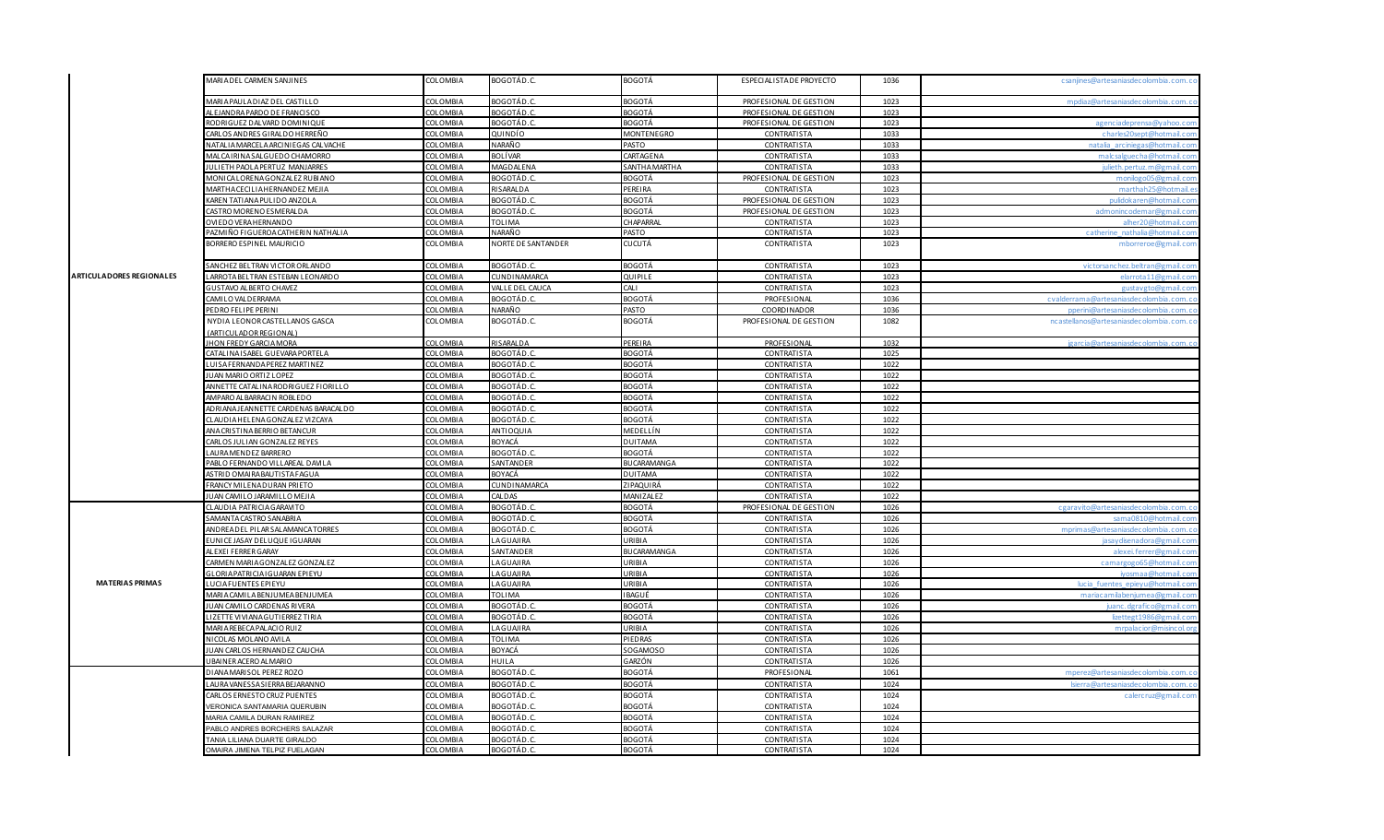|  |                                 | MARIA DEL CARMEN SANJINES                                | COLOMBIA        | BOGOTÁD.C.         | <b>BOGOTÁ</b>        | ESPECIALISTA DE PROYECTO | 1036 | csanjines@artesaniasdecolombia.com.co    |
|--|---------------------------------|----------------------------------------------------------|-----------------|--------------------|----------------------|--------------------------|------|------------------------------------------|
|  |                                 | ARIA PAULA DIAZ DEL CASTILLO                             | COLOMBIA        | BOGOTÁD.C.         | BOGOTÁ               | PROFESIONAL DE GESTION   | 1023 | mpdiaz@artesaniasdecolombia.com.co       |
|  |                                 | AL EJAN DRA PARDO DE FRANCISCO                           | COLOMBIA        | BOGOTÁD.C          | BOGOTÁ               | PROFESIONAL DE GESTION   | 1023 |                                          |
|  |                                 | RODRIGUEZ DALVARD DOMINIQUE                              | COLOMBIA        | BOGOTÁD.C          | BOGOTÁ               | PROFESIONAL DE GESTION   | 1023 | agencia deprensa @vahoo.com              |
|  |                                 | ARLOS ANDRES GIRALDO HERREÑO                             | COLOMBIA        | QUINDÍO            | MONTENEGRO           | CONTRATISTA              | 1033 | charles20sept@hotmail.com                |
|  |                                 | <b>IATALIA MARCELA ARCINIEGAS CALVACHE</b>               | <b>COLOMBIA</b> | NARAÑO             | PASTO                | CONTRATISTA              | 1033 | natalia arciniegas@hotmail.com           |
|  |                                 | MALCA I RI NA SALGUEDO CHAMORRO                          | <b>COLOMBIA</b> | BOLÍVAR            | CARTAGENA            | <b>CONTRATISTA</b>       | 1033 | malcsalguecha@hotmail.com                |
|  |                                 | JULIETH PAOLA PERTUZ MANJARRES                           | COLOMBIA        | <b>MAGDALENA</b>   | <b>SANTHA MARTHA</b> | <b>CONTRATISTA</b>       | 1033 | julieth nertuz m@gmail.com               |
|  |                                 | MONICALORENA GONZALEZ RUBIANO                            | COLOMBIA        | BOGOTÁD.O          | BOGOTÁ               | PROFESIONAL DE GESTION   | 1023 | monilogo05@gmail.com                     |
|  |                                 | <b><i>AARTHA CECILIA HERNANDEZ MEJIA</i></b>             | <b>COLOMBIA</b> | RISARALDA          | PEREIRA              | <b>CONTRATISTA</b>       | 1023 | marthah25@hotmail.es                     |
|  |                                 | AREN TATIANA PULIDO ANZOLA                               | COLOMBIA        | BOGOTÁD.C          | <b>BOGOTÁ</b>        | PROFESIONAL DE GESTION   | 1023 | pulidokaren@hotmail.com                  |
|  |                                 | ASTRO MORENO ESMERALDA                                   | <b>COLOMBIA</b> | BOGOTÁD.C          | BOGOTÁ               | PROFESIONAL DE GESTION   | 1023 | admonincodemar@gmail.com                 |
|  |                                 | OVIEDO VERA HERNANDO                                     | COLOMBIA        | TOLIMA             | <b>CHAPARRAL</b>     | <b>CONTRATISTA</b>       | 1023 | alher20@hotmail.com                      |
|  |                                 | AZMIÑO FIGUEROA CATHERIN NATHALIA                        | COLOMBIA        | NARAÑO             | PASTO                | CONTRATISTA              | 1023 | catherine nathalia@hotmail.com           |
|  |                                 | BORRERO ESPINEL MAURICIO                                 | COLOMBIA        | NORTE DE SANTANDER | CUCUTÁ               | CONTRATISTA              | 1023 | mborreroe@gmail.com                      |
|  |                                 | SANCHEZ BELTRAN VICTOR ORLANDO                           | COLOMBIA        | BOGOTÁD.C.         | <b>BOGOTÁ</b>        | <b>CONTRATISTA</b>       | 1023 | victorsanchez.beltran@gmail.com          |
|  | <b>ARTICULADORES REGIONALES</b> | ARROTA BELTRAN ESTEBAN LEONARDC                          | COLOMBIA        | CUNDINAMARCA       | QUIPILE              | <b>CONTRATISTA</b>       | 1023 | elarrota11@gmail.com                     |
|  |                                 | GUSTAVO ALBERTO CHAVEZ                                   | COLOMBIA        | VALLE DEL CAUCA    | CALI                 | <b>CONTRATISTA</b>       | 1023 | gustavgto@gmail.com                      |
|  |                                 | AMILO VALDERRAMA                                         | COLOMBIA        | BOGOTÁD.C.         | BOGOTÁ               | PROFESIONAL              | 1036 | cyalderrama@artesaniasdecolombia.com.co  |
|  |                                 | PEDRO FELIPE PERINI                                      | COLOMBIA        | NARAÑO             | PASTO                | COORDINADOR              | 1036 | operini@artesanjasdecolombja.com.co      |
|  |                                 | NYDIA LEONOR CASTELLANOS GASCA<br>(ARTICULADOR REGIONAL) | COLOMBIA        | BOGOTÁD.C.         | <b>BOGOTÁ</b>        | PROFESIONAL DE GESTION   | 1082 | ncastellanos@artesaniasdecolombia.com.co |
|  |                                 | JHON FREDY GARCIA MORA                                   | COLOMBIA        | RISARALDA          | PEREIRA              | PROFESIONAL              | 1032 | jgarcia@artesaniasdecolombia.com.co      |
|  |                                 | ATALINA ISABEL GUEVARA PORTELA                           | COLOMBIA        | BOGOTÁD.C          | BOGOTÁ               | CONTRATISTA              | 1025 |                                          |
|  |                                 | UISA FERNANDA PEREZ MARTINEZ                             | COLOMBIA        | BO <u>GOTÁD.C</u>  | BOGOTÁ               | CONTRATISTA              | 1022 |                                          |
|  |                                 | JAN MARIO ORTIZ LOPEZ                                    | <b>COLOMBIA</b> | BOGOTÁD.C.         | BOGOTÁ               | <b>CONTRATISTA</b>       | 1022 |                                          |
|  |                                 | ANNETTE CATALINA RODRIGUEZ FIORILLO                      | COLOMBIA        | BOGOTÁD.C.         | <b>BOGOTÁ</b>        | <b>CONTRATISTA</b>       | 1022 |                                          |
|  |                                 | AMPARO ALBARRACIN ROBLEDO                                | COLOMBIA        | BOGOTÁD.C          | BOGOTÁ               | <b>CONTRATISTA</b>       | 1022 |                                          |
|  |                                 | ADRI ANA JEANNETTE CARDENAS BARACALDO                    | COLOMBIA        | BOGOTÁD.C          | BOGOTÁ               | CONTRATISTA              | 1022 |                                          |
|  |                                 | LAUDIA HELENA GONZALEZ VIZCAYA                           | COLOMBIA        | BOGOTÁD.C          | <b>BOGOTÁ</b>        | CONTRATISTA              | 1022 |                                          |
|  |                                 | NA CRISTINA BERRIO BETANCUR                              | <b>COLOMBIA</b> | ANTIOQUIA          | MEDELLÍN             | <b>CONTRATISTA</b>       | 1022 |                                          |
|  |                                 | ARLOS JULIAN GONZALEZ REYES                              | COLOMBIA        | BOYACÁ             | DUITAMA              | <b>CONTRATISTA</b>       | 1022 |                                          |
|  |                                 | AURA MENDEZ BARRERO                                      | <b>COLOMBIA</b> | BOGOTÁD.C.         | BOGOTÁ               | CONTRATISTA              | 1022 |                                          |
|  |                                 | PABLO FERNANDO VILLAREAL DAVILA                          | COLOMBIA        | SANTANDER          | <b>BUCARAMANGA</b>   | CONTRATISTA              | 1022 |                                          |
|  |                                 | <b>ISTRID OMAIRA BAUTISTA FAGUA</b>                      | <b>COLOMBIA</b> | BOYACÁ             | <b>DUITAMA</b>       | <b>CONTRATISTA</b>       | 1022 |                                          |
|  |                                 | RANCY MILENA DURAN PRIETO                                | COLOMBIA        | CUNDINAMARCA       | ZIPAQUIRÁ            | <b>CONTRATISTA</b>       | 1022 |                                          |
|  |                                 | UAN CAMILO JARAMILLO MEJIA                               | COLOMBIA        | CALDAS             | MANIZALEZ            | <b>CONTRATISTA</b>       | 1022 |                                          |
|  |                                 | CLAUDIA PATRICIA GARAVITO                                | COLOMBIA        | BOGOTÁD.C.         | BOGOTÁ               | PROFESIONAL DE GESTION   | 1026 | cgaravito@artesanjasdecolombia.com.co    |
|  |                                 | SAMANTA CASTRO SANABRIA                                  | <b>COLOMBIA</b> | BOGOTÁD.C          | BOGOTÁ               | <b>CONTRATISTA</b>       | 1026 | sama0810@hotmail.com                     |
|  |                                 | ANDREADEL PILAR SALAMANCA TORRES                         | COLOMBIA        | BOGOTÁD.C          | BOGOTÁ               | <b>CONTRATISTA</b>       | 1026 | mprimas@artesanjasdecolombia.com.co      |
|  |                                 | UNICE JASAY DELUQUE IGUARAN                              | COLOMBIA        | LAGUAJIRA          | URIBIA               | <b>CONTRATISTA</b>       | 1026 | jasay disenadora@gmail.com               |
|  |                                 | ALEXEI FERRER GARAY                                      | COLOMBIA        | SANTANDER          | <b>BUCARAMANGA</b>   | <b>CONTRATISTA</b>       | 1026 | alexei ferrer@gmail.com                  |
|  |                                 | ARMEN MARIA GONZALEZ GONZALEZ                            | COLOMBIA        | LAGUAJIRA          | URI BI A             | CONTRATISTA              | 1026 | camargogo65@hotmail.com                  |
|  |                                 | <b>ILORIA PATRICIA I GUARAN EPIEYU</b>                   | COLOMBIA        | LAGUAJIRA          | URI BI A             | <b>CONTRATISTA</b>       | 1026 | ivosmaa@hotmail.com                      |
|  | <b>MATERIAS PRIMAS</b>          | UCIAFUENTES EPIEYU                                       | COLOMBIA        | LAGUAIRA           | URI BI A             | CONTRATISTA              | 1026 | lucia fuentes epieyu@hotmail.com         |
|  |                                 | AARIA CAMILA BENJUMEA BENJUMEA                           | COLOMBIA        | TOLIMA             | BAGUÉ                | CONTRATISTA              | 1026 | mariacamilabenjumea@gmail.com            |
|  |                                 | UAN CAMILO CARDENAS RIVERA                               | COLOMBIA        | BOGOTÁD.O          | <b>BOGOTÁ</b>        | <b>CONTRATISTA</b>       | 1026 | uanc.dgrafico@gmail.com                  |
|  |                                 | IZETTE VIVIANA GUTIERREZ TIRIA                           | COLOMBIA        | BOGOTÁD.C          | <b>BOGOTÁ</b>        | <b>CONTRATISTA</b>       | 1026 | lizettegt1986@gmail.com                  |
|  |                                 | <b>MARIA REBECA PALACIO RUIZ</b>                         | COLOMBIA        | LAGUAJIRA          | URIBIA               | <b>CONTRATISTA</b>       | 1026 | mrnalacior@misincol.org                  |
|  |                                 | NICOLAS MOLANO AVILA                                     | <b>COLOMBIA</b> | TOLIMA             | PIEDRAS              | <b>CONTRATISTA</b>       | 1026 |                                          |
|  |                                 | UAN CARLOS HERNANDEZ CAUCHA                              | <b>COLOMBIA</b> | BOYACÁ             | SOGAMOSO             | <b>CONTRATISTA</b>       | 1026 |                                          |
|  |                                 | JBAINER ACERO AL MARIO                                   | COLOMBIA        | HUILA              | GARZÓN               | <b>CONTRATISTA</b>       | 1026 |                                          |
|  |                                 | DI ANA MARISOL PEREZ ROZO                                | <b>COLOMBIA</b> | BOGOTÁD.C.         | <b>BOGOTÁ</b>        | PROFESIONAL              | 1061 | mperez@artesaniasdecolombia.com.co       |
|  |                                 | AURA VANESSA SI ERRA BEJARANNO                           | COLOMBIA        | <b>BOGOTÁD.C</b>   | BOGOTÁ               | CONTRATISTA              | 1024 |                                          |
|  |                                 | CARLOS ERNESTO CRUZ PUENTES                              | COLOMBIA        | BOGOTÁD.C.         | <b>BOGOTÁ</b>        | CONTRATISTA              | 1024 | calercruz@gmail.com                      |
|  |                                 | VERONICA SANTAMARIA QUERUBIN                             | COLOMBIA        | BOGOTÁD.C          | BOGOTÁ               | <b>CONTRATISTA</b>       | 1024 |                                          |
|  |                                 | MARIA CAMILA DURAN RAMIREZ                               | COLOMBIA        | BOGOTÁD.C.         | BOGOTÁ               | <b>CONTRATISTA</b>       | 1024 |                                          |
|  |                                 | ABLO ANDRES BORCHERS SALAZAR                             | <b>COLOMBIA</b> | BOGOTÁD.C          | BOGOTÁ               | <b>CONTRATISTA</b>       | 1024 |                                          |
|  |                                 | ANIA LILIANA DUARTE GIRALDO                              | COLOMBIA        | BOGOTÁD.C          | BOGOTÁ               | CONTRATISTA              | 1024 |                                          |
|  |                                 | OMAIRA JIMENA TELPIZ FUELAGAN                            | COLOMBIA        | BOGOTÁD.C.         | <b>BOGOTÁ</b>        | <b>CONTRATISTA</b>       | 1024 |                                          |
|  |                                 |                                                          |                 |                    |                      |                          |      |                                          |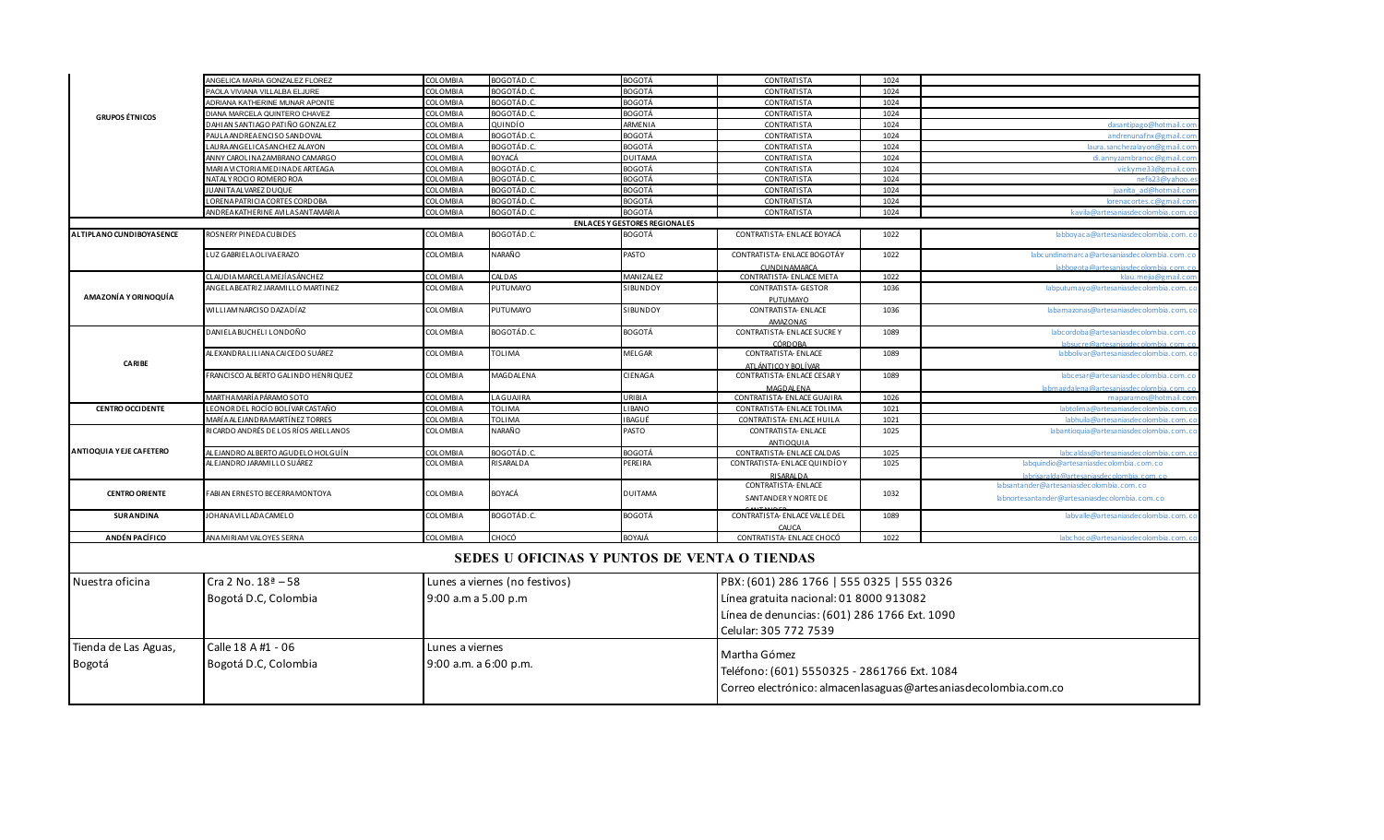|                                 | ANGELICA MARIA GONZALEZ FLOREZ       | COLOMBIA              | BOGOTÁD.C.                                   | <b>BOGOTÁ</b>                                                        | <b>CONTRATISTA</b>                             | 1024                                        |                                                                                     |  |  |
|---------------------------------|--------------------------------------|-----------------------|----------------------------------------------|----------------------------------------------------------------------|------------------------------------------------|---------------------------------------------|-------------------------------------------------------------------------------------|--|--|
|                                 | PAOLA VIVIANA VILLALBA ELJURE        | COLOMBIA              | BOGOTÁD.C.                                   | <b>BOGOTÁ</b>                                                        | CONTRATISTA                                    | 1024                                        |                                                                                     |  |  |
|                                 | ADRIANA KATHERINE MUNAR APONTE       | <b>COLOMBIA</b>       | BOGOTÁD.C                                    | <b>BOGOTÁ</b>                                                        | CONTRATISTA                                    | 1024                                        |                                                                                     |  |  |
| <b>GRUPOS ÉTNICOS</b>           | DIANA MARCELA QUINTERO CHAVEZ        | COLOMBIA              | BOGOTÁD.C.                                   | <b>BOGOTÁ</b>                                                        | <b>CONTRATISTA</b>                             | 1024                                        |                                                                                     |  |  |
|                                 | DAHIAN SANTIAGO PATIÑO GONZALEZ      | COLOMBIA              | QUINDÍO                                      | ARMENIA                                                              | <b>CONTRATISTA</b>                             | 1024                                        | dasantipago@hotmail.con                                                             |  |  |
|                                 | PAULA ANDREA ENCISO SANDOVAL         | COLOMBIA              | BOGOTÁD.C.                                   | <b>BOGOTÁ</b>                                                        | <b>CONTRATISTA</b>                             | 1024                                        | andrenunafnx@gmail.co                                                               |  |  |
|                                 | LAURA ANGELICA SANCHEZ ALAYON        | COLOMBIA              | BOGOTÁD.C.                                   | <b>BOGOTÁ</b>                                                        | CONTRATISTA                                    | 1024                                        | laura, sanchezalavon@gmail.com                                                      |  |  |
|                                 | ANNY CAROLINA ZAMBRANO CAMARGO       | COLOMBIA              | BOYACÁ                                       | <b>DUITAMA</b>                                                       | CONTRATISTA                                    | 1024                                        | di, annyzambranoc @gmail, c.c                                                       |  |  |
|                                 | MARIA VICTORIA MEDINA DE ARTEAGA     | COLOMBIA              | BOGOTÁD.C.                                   | <b>BOGOTÁ</b>                                                        | <b>CONTRATISTA</b>                             | 1024                                        | vickyme33@gmail.co                                                                  |  |  |
|                                 | NATALY ROCIO ROMERO ROA              | COLOMBIA              | BOGOTÁD.C.                                   | <b>BOGOTÁ</b>                                                        | <b>CONTRATISTA</b>                             | 1024                                        | nefis23@vahoo.e                                                                     |  |  |
|                                 | UANITA ALVAREZ DUQUE                 | COLOMBIA              | BOGOTÁD.C.                                   | <b>BOGOTÁ</b>                                                        | <b>CONTRATISTA</b>                             | 1024                                        | juanita ad@hotmail.co                                                               |  |  |
|                                 | LORENA PATRICIA CORTES CORDOBA       | COLOMBIA              | BOGOTÁD.C.                                   | <b>BOGOTÁ</b>                                                        | CONTRATISTA                                    | 1024                                        | lorenacortes.c@gmail.co                                                             |  |  |
|                                 | AND REAKATHERINE AVILA SANTAMARIA    | COLOMBIA              | BOGOTÁD.C.                                   | <b>BOGOTÁ</b>                                                        | <b>CONTRATISTA</b>                             | 1024                                        | kavila@artesaniasdecolombia.com.co                                                  |  |  |
|                                 |                                      |                       |                                              | <b>ENLACES Y GESTORES REGIONALES</b>                                 |                                                |                                             |                                                                                     |  |  |
| ALTIPLANO CUNDIBOYASENCE        | ROSNERY PINEDACUBIDES                | <b>COLOMBIA</b>       | BOGOTÁD.C.                                   | <b>BOGOTÁ</b>                                                        | CONTRATISTA- ENLACE BOYACÁ                     | 1022                                        | labboyaca@artesaniasdecolombia.com.co                                               |  |  |
|                                 | LUZ GABRIELA OLIVA ERAZO             | COLOMBIA              | NARAÑO                                       | PASTO                                                                | CONTRATISTA- ENLACE BOGOTÁY<br>CUNDINAMARCA    | 1022                                        | labcundinamarca@artesaniasdecolombia.com.co<br>labbogota@artesanjasdecolombja.com.o |  |  |
|                                 | CLAUDIA MARCELA MEJÍA SÁNCHEZ        | COLOMBIA              | CALDAS                                       | MANIZALEZ                                                            | CONTRATISTA- ENLACE META                       | 1022                                        | klau, mejja@gmail.co                                                                |  |  |
|                                 | ANGELA BEATRIZ JARAMILLO MARTINEZ    | <b>COLOMBIA</b>       | PUTUMAYO                                     | <b>SIBUNDOY</b>                                                      | CONTRATISTA- GESTOR                            | 1036                                        | labputumayo@artesaniasdecolombia.com.co                                             |  |  |
| AMAZONÍA Y ORINOQUÍA            |                                      |                       |                                              |                                                                      | PUTUMAYO                                       |                                             |                                                                                     |  |  |
|                                 | WILLIAM NARCISO DAZA DÍAZ            | COLOMBIA              | PUTUMAYO                                     | SIBUNDOY                                                             | CONTRATISTA- ENLACE                            | 1036                                        | labamazonas@artesaniasdecolombia.com.co                                             |  |  |
|                                 | DANIELA BUCHELI LONDOÑO              | COLOMBIA              | BOGOTÁD.C.                                   | <b>BOGOTÁ</b>                                                        | <b>AMAZONAS</b><br>CONTRATISTA- ENLACE SUCRE Y | 1089                                        | labcordoba@artesaniasdecolombia.com.co                                              |  |  |
|                                 |                                      |                       |                                              |                                                                      |                                                |                                             | labsucre@artesaniasdecolombia.com.c                                                 |  |  |
|                                 | AL EXANDRA LI LIANA CAI CEDO SUÁREZ  | COLOMBIA              | <b>TOLIMA</b>                                | MELGAR                                                               | CÓRDOBA<br>CONTRATISTA- ENLACE                 | 1089                                        | labbolivar@artesaniasdecolombia.com.co                                              |  |  |
| <b>CARIBE</b>                   |                                      |                       |                                              |                                                                      | ATLÁNTICO Y BOLÍVAR                            |                                             |                                                                                     |  |  |
|                                 | FRANCISCO ALBERTO GALINDO HENRIQUEZ  | <b>COLOMBIA</b>       | <b>MAGDALENA</b>                             | CIENAGA                                                              | CONTRATISTA- ENLACE CESARY                     | 1089                                        | labcesar@artesaniasdecolombia.com.co                                                |  |  |
|                                 |                                      |                       |                                              |                                                                      | MAGDALENA                                      |                                             | lahmandalana@artacanjardacolombia com                                               |  |  |
|                                 | MARTHA MARÍ A PÁRAMO SOTO            | COLOMBIA              | LAGUAJIRA                                    | URI BI A                                                             | CONTRATISTA- ENLACE GUAJIRA                    | 1026                                        | maparamos@hotmail.com                                                               |  |  |
| <b>CENTRO OCCIDENTE</b>         | LEONOR DEL ROCÍO BOLÍVAR CASTAÑO     | COLOMBIA              | <b>TOLIMA</b>                                | LIBANO                                                               | CONTRATISTA- ENLACE TOLIMA                     | 1021                                        | labtolima@artesanjasdecolombia.com.                                                 |  |  |
|                                 | MARÍ A AL EJANDRA MARTÍNEZ TORRES    | COLOMBIA              | <b>TOLIMA</b>                                | IBAGUÉ                                                               | CONTRATISTA- ENLACE HUILA                      | 1021                                        | labhuila@artesaniasdecolombia.com.c                                                 |  |  |
|                                 | RICARDO ANDRÉS DE LOS RÍOS ARELLANOS | <b>COLOMBIA</b>       | NARAÑO                                       | PASTO                                                                | CONTRATISTA- ENLACE                            | 1025                                        | labantioquia@artesaniasdecolombia.com.co                                            |  |  |
|                                 |                                      |                       |                                              |                                                                      | <b>ANTIOOUIA</b>                               |                                             |                                                                                     |  |  |
| <b>ANTIOQUIA Y EJE CAFETERO</b> | ALEJANDRO ALBERTO AGUDELO HOLGUÍN    | COLOMBIA              | BOGOTÁD.C.                                   | <b>BOGOTÁ</b>                                                        | CONTRATISTA- ENLACE CALDAS                     | 1025                                        | labcaldas@artesaniasdecolombia.com.co                                               |  |  |
|                                 | ALEJANDRO JARAMILLO SUÁREZ           | COLOMBIA              | RISARALDA                                    | PEREIRA                                                              | CONTRATISTA- ENLACE QUINDÍO Y                  | 1025                                        | labquindio@artesaniasdecolombia.com.co                                              |  |  |
|                                 |                                      |                       |                                              |                                                                      | <b>RISARALDA</b>                               |                                             | labricaralda@artecaniacdecolombia_com_ci                                            |  |  |
|                                 |                                      |                       |                                              |                                                                      | CONTRATISTA- ENLACE                            |                                             | labsantander@artesaniasdecolombia.com.co                                            |  |  |
| <b>CENTRO ORIENTE</b>           | FABIAN ERNESTO BECERRA MONTOYA       | COLOMBIA              | BOYACÁ                                       | <b>DUITAMA</b>                                                       | SANTANDERY NORTE DE                            | 1032                                        | labnortesantander@artesaniasdecolombia.com.co                                       |  |  |
| <b>SURANDINA</b>                | <b>JOHANA VILLADA CAMELO</b>         | COLOMBIA              | BOGOTÁD.C.                                   | <b>BOGOTÁ</b>                                                        | CONTRATISTA- ENLACE VALLE DEL<br>CAUCA         | 1089                                        | labvalle@artesaniasdecolombia.com.co                                                |  |  |
| ANDÉN PACÍFICO                  | ANA MIRIAM VALOYES SERNA             | COLOMBIA              | CHOCÓ                                        | BOYAJÁ                                                               | CONTRATISTA- ENLACE CHOCÓ                      | 1022                                        | labchoco@artesaniasdecolombia.com.                                                  |  |  |
|                                 |                                      |                       | SEDES U OFICINAS Y PUNTOS DE VENTA O TIENDAS |                                                                      |                                                |                                             |                                                                                     |  |  |
| Nuestra oficina                 | $Cra 2 No. 18a - 58$                 |                       | Lunes a viernes (no festivos)                |                                                                      | PBX: (601) 286 1766   555 0325   555 0326      |                                             |                                                                                     |  |  |
|                                 | Bogotá D.C, Colombia                 | 9:00 a.m a 5.00 p.m   |                                              |                                                                      | Línea gratuita nacional: 01 8000 913082        |                                             |                                                                                     |  |  |
|                                 |                                      |                       |                                              |                                                                      |                                                |                                             |                                                                                     |  |  |
|                                 |                                      |                       |                                              |                                                                      | Línea de denuncias: (601) 286 1766 Ext. 1090   |                                             |                                                                                     |  |  |
|                                 |                                      |                       |                                              |                                                                      | Celular: 305 772 7539                          |                                             |                                                                                     |  |  |
|                                 | Calle 18 A #1 - 06                   |                       |                                              |                                                                      |                                                |                                             |                                                                                     |  |  |
| Tienda de Las Aguas,            |                                      | Lunes a viernes       |                                              |                                                                      | Martha Gómez                                   |                                             |                                                                                     |  |  |
| Bogotá                          | Bogotá D.C, Colombia                 | 9:00 a.m. a 6:00 p.m. |                                              |                                                                      |                                                |                                             |                                                                                     |  |  |
|                                 |                                      |                       |                                              |                                                                      |                                                | Teléfono: (601) 5550325 - 2861766 Ext. 1084 |                                                                                     |  |  |
|                                 |                                      |                       |                                              | Correo electrónico: almacenlas aguas @ artes anias decolombia.com.co |                                                |                                             |                                                                                     |  |  |